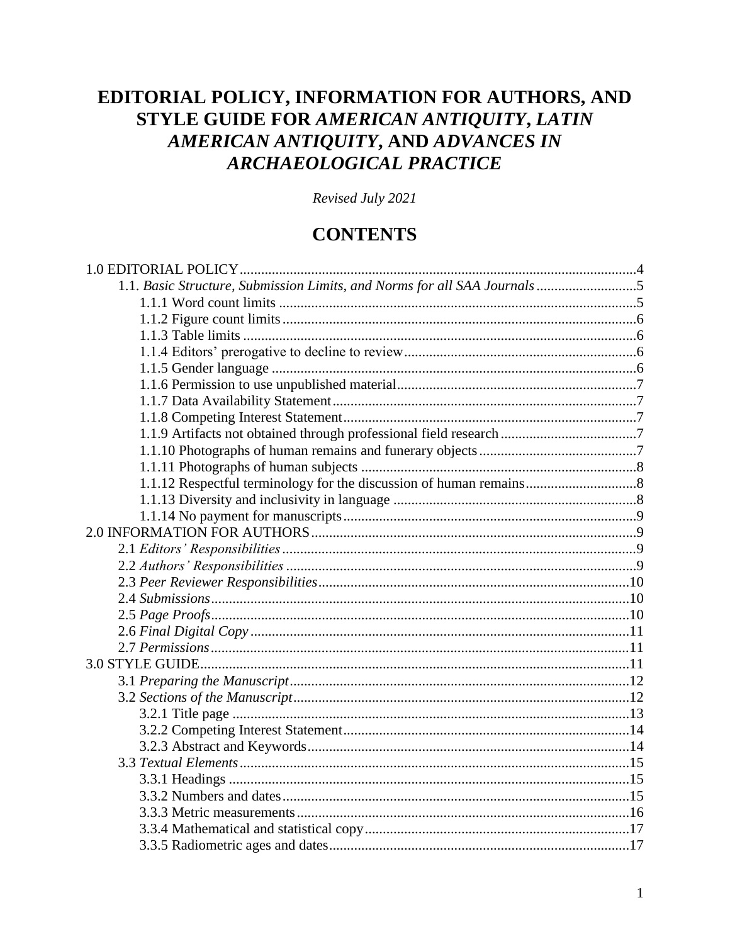# EDITORIAL POLICY, INFORMATION FOR AUTHORS, AND STYLE GUIDE FOR AMERICAN ANTIQUITY, LATIN AMERICAN ANTIQUITY, AND ADVANCES IN ARCHAEOLOGICAL PRACTICE

Revised July 2021

# **CONTENTS**

| 1.1. Basic Structure, Submission Limits, and Norms for all SAA Journals 5 |  |
|---------------------------------------------------------------------------|--|
|                                                                           |  |
|                                                                           |  |
|                                                                           |  |
|                                                                           |  |
|                                                                           |  |
|                                                                           |  |
|                                                                           |  |
|                                                                           |  |
|                                                                           |  |
|                                                                           |  |
|                                                                           |  |
|                                                                           |  |
|                                                                           |  |
|                                                                           |  |
|                                                                           |  |
|                                                                           |  |
|                                                                           |  |
|                                                                           |  |
|                                                                           |  |
|                                                                           |  |
|                                                                           |  |
|                                                                           |  |
|                                                                           |  |
|                                                                           |  |
|                                                                           |  |
|                                                                           |  |
|                                                                           |  |
|                                                                           |  |
|                                                                           |  |
|                                                                           |  |
|                                                                           |  |
|                                                                           |  |
|                                                                           |  |
|                                                                           |  |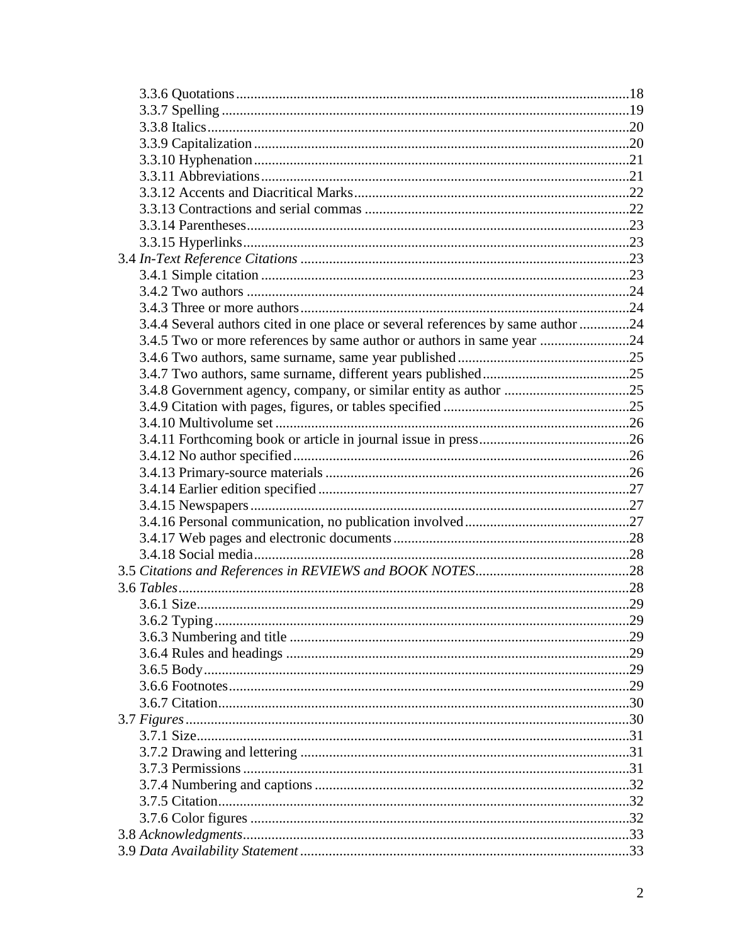| 3.4.4 Several authors cited in one place or several references by same author 24 |  |
|----------------------------------------------------------------------------------|--|
| 3.4.5 Two or more references by same author or authors in same year 24           |  |
|                                                                                  |  |
|                                                                                  |  |
|                                                                                  |  |
|                                                                                  |  |
|                                                                                  |  |
|                                                                                  |  |
|                                                                                  |  |
|                                                                                  |  |
|                                                                                  |  |
|                                                                                  |  |
|                                                                                  |  |
|                                                                                  |  |
|                                                                                  |  |
|                                                                                  |  |
|                                                                                  |  |
|                                                                                  |  |
|                                                                                  |  |
|                                                                                  |  |
|                                                                                  |  |
|                                                                                  |  |
|                                                                                  |  |
|                                                                                  |  |
|                                                                                  |  |
|                                                                                  |  |
|                                                                                  |  |
|                                                                                  |  |
|                                                                                  |  |
|                                                                                  |  |
|                                                                                  |  |
|                                                                                  |  |
|                                                                                  |  |
|                                                                                  |  |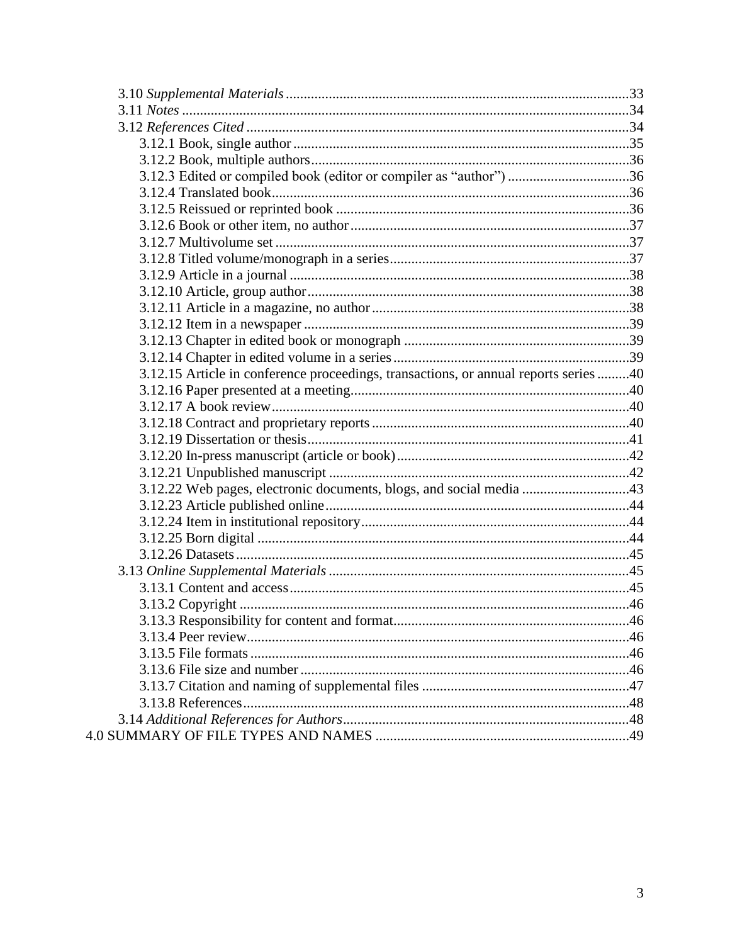| 3.12.3 Edited or compiled book (editor or compiler as "author") 36                   |  |
|--------------------------------------------------------------------------------------|--|
|                                                                                      |  |
|                                                                                      |  |
|                                                                                      |  |
|                                                                                      |  |
|                                                                                      |  |
|                                                                                      |  |
|                                                                                      |  |
|                                                                                      |  |
|                                                                                      |  |
|                                                                                      |  |
|                                                                                      |  |
| 3.12.15 Article in conference proceedings, transactions, or annual reports series 40 |  |
|                                                                                      |  |
|                                                                                      |  |
|                                                                                      |  |
|                                                                                      |  |
|                                                                                      |  |
|                                                                                      |  |
| 3.12.22 Web pages, electronic documents, blogs, and social media 43                  |  |
|                                                                                      |  |
|                                                                                      |  |
|                                                                                      |  |
|                                                                                      |  |
|                                                                                      |  |
|                                                                                      |  |
|                                                                                      |  |
|                                                                                      |  |
|                                                                                      |  |
|                                                                                      |  |
|                                                                                      |  |
|                                                                                      |  |
|                                                                                      |  |
|                                                                                      |  |
|                                                                                      |  |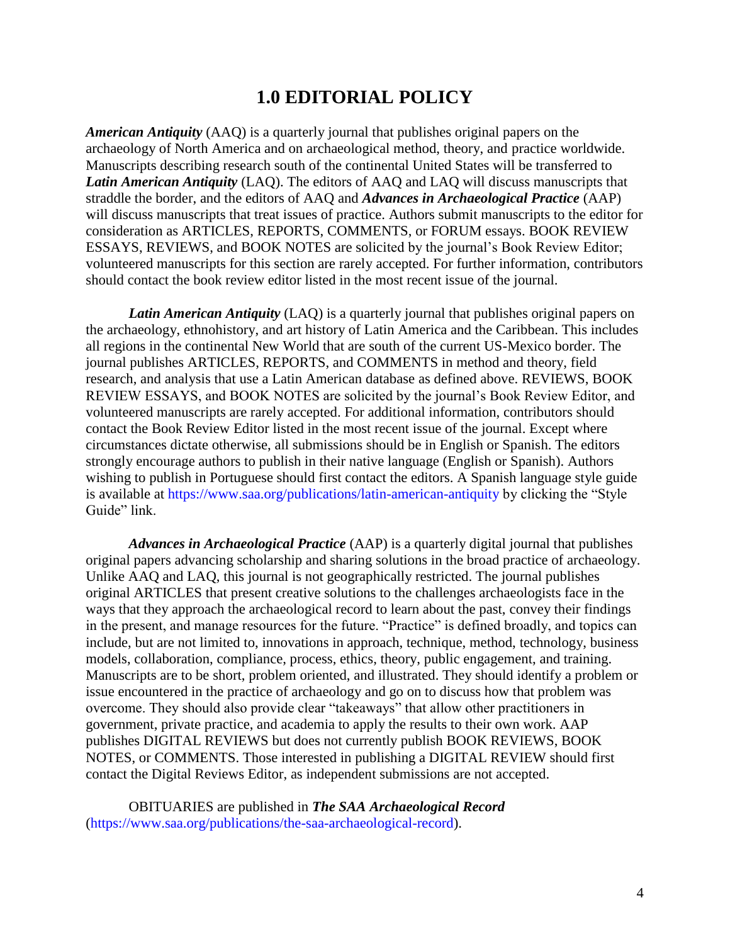# **1.0 EDITORIAL POLICY**

*American Antiquity* (AAQ) is a quarterly journal that publishes original papers on the archaeology of North America and on archaeological method, theory, and practice worldwide. Manuscripts describing research south of the continental United States will be transferred to *Latin American Antiquity* (LAQ). The editors of AAQ and LAQ will discuss manuscripts that straddle the border, and the editors of AAQ and *Advances in Archaeological Practice* (AAP) will discuss manuscripts that treat issues of practice. Authors submit manuscripts to the editor for consideration as ARTICLES, REPORTS, COMMENTS, or FORUM essays. BOOK REVIEW ESSAYS, REVIEWS, and BOOK NOTES are solicited by the journal's Book Review Editor; volunteered manuscripts for this section are rarely accepted. For further information, contributors should contact the book review editor listed in the most recent issue of the journal.

*Latin American Antiquity* (LAQ) is a quarterly journal that publishes original papers on the archaeology, ethnohistory, and art history of Latin America and the Caribbean. This includes all regions in the continental New World that are south of the current US-Mexico border. The journal publishes ARTICLES, REPORTS, and COMMENTS in method and theory, field research, and analysis that use a Latin American database as defined above. REVIEWS, BOOK REVIEW ESSAYS, and BOOK NOTES are solicited by the journal's Book Review Editor, and volunteered manuscripts are rarely accepted. For additional information, contributors should contact the Book Review Editor listed in the most recent issue of the journal. Except where circumstances dictate otherwise, all submissions should be in English or Spanish. The editors strongly encourage authors to publish in their native language (English or Spanish). Authors wishing to publish in Portuguese should first contact the editors. A Spanish language style guide is available at<https://www.saa.org/publications/latin-american-antiquity> by clicking the "Style Guide" link.

*Advances in Archaeological Practice* (AAP) is a quarterly digital journal that publishes original papers advancing scholarship and sharing solutions in the broad practice of archaeology. Unlike AAQ and LAQ, this journal is not geographically restricted. The journal publishes original ARTICLES that present creative solutions to the challenges archaeologists face in the ways that they approach the archaeological record to learn about the past, convey their findings in the present, and manage resources for the future. "Practice" is defined broadly, and topics can include, but are not limited to, innovations in approach, technique, method, technology, business models, collaboration, compliance, process, ethics, theory, public engagement, and training. Manuscripts are to be short, problem oriented, and illustrated. They should identify a problem or issue encountered in the practice of archaeology and go on to discuss how that problem was overcome. They should also provide clear "takeaways" that allow other practitioners in government, private practice, and academia to apply the results to their own work. AAP publishes DIGITAL REVIEWS but does not currently publish BOOK REVIEWS, BOOK NOTES, or COMMENTS. Those interested in publishing a DIGITAL REVIEW should first contact the Digital Reviews Editor, as independent submissions are not accepted.

OBITUARIES are published in *The SAA Archaeological Record* [\(https://www.saa.org/publications/the-saa-archaeological-record\)](https://www.saa.org/publications/the-saa-archaeological-record).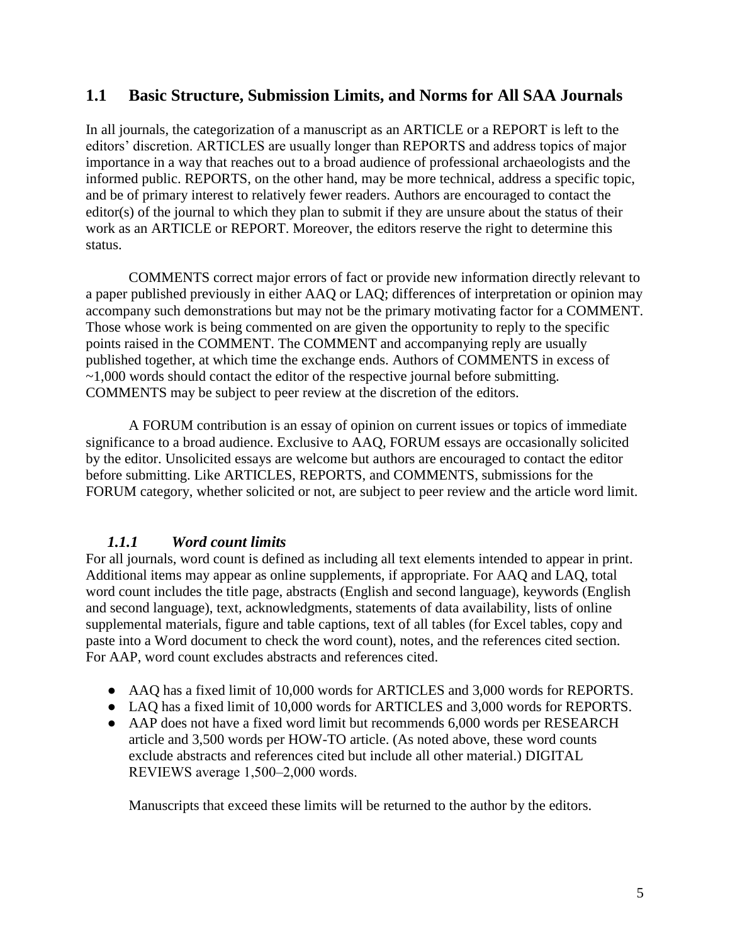# **1.1 Basic Structure, Submission Limits, and Norms for All SAA Journals**

In all journals, the categorization of a manuscript as an ARTICLE or a REPORT is left to the editors' discretion. ARTICLES are usually longer than REPORTS and address topics of major importance in a way that reaches out to a broad audience of professional archaeologists and the informed public. REPORTS, on the other hand, may be more technical, address a specific topic, and be of primary interest to relatively fewer readers. Authors are encouraged to contact the editor(s) of the journal to which they plan to submit if they are unsure about the status of their work as an ARTICLE or REPORT. Moreover, the editors reserve the right to determine this status.

COMMENTS correct major errors of fact or provide new information directly relevant to a paper published previously in either AAQ or LAQ; differences of interpretation or opinion may accompany such demonstrations but may not be the primary motivating factor for a COMMENT. Those whose work is being commented on are given the opportunity to reply to the specific points raised in the COMMENT. The COMMENT and accompanying reply are usually published together, at which time the exchange ends. Authors of COMMENTS in excess of ~1,000 words should contact the editor of the respective journal before submitting. COMMENTS may be subject to peer review at the discretion of the editors.

A FORUM contribution is an essay of opinion on current issues or topics of immediate significance to a broad audience. Exclusive to AAQ, FORUM essays are occasionally solicited by the editor. Unsolicited essays are welcome but authors are encouraged to contact the editor before submitting. Like ARTICLES, REPORTS, and COMMENTS, submissions for the FORUM category, whether solicited or not, are subject to peer review and the article word limit.

## *1.1.1 Word count limits*

For all journals, word count is defined as including all text elements intended to appear in print. Additional items may appear as online supplements, if appropriate. For AAQ and LAQ, total word count includes the title page, abstracts (English and second language), keywords (English and second language), text, acknowledgments, statements of data availability, lists of online supplemental materials, figure and table captions, text of all tables (for Excel tables, copy and paste into a Word document to check the word count), notes, and the references cited section. For AAP, word count excludes abstracts and references cited.

- AAQ has a fixed limit of 10,000 words for ARTICLES and 3,000 words for REPORTS.
- LAQ has a fixed limit of 10,000 words for ARTICLES and 3,000 words for REPORTS.
- AAP does not have a fixed word limit but recommends 6,000 words per RESEARCH article and 3,500 words per HOW-TO article. (As noted above, these word counts exclude abstracts and references cited but include all other material.) DIGITAL REVIEWS average 1,500-2,000 words.

Manuscripts that exceed these limits will be returned to the author by the editors.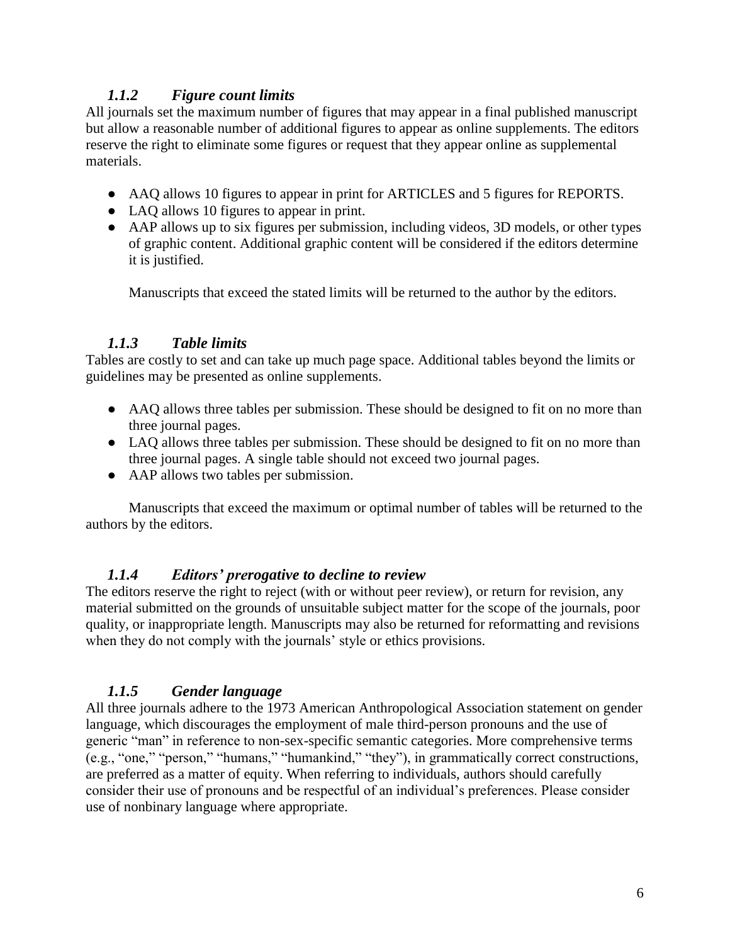## *1.1.2 Figure count limits*

All journals set the maximum number of figures that may appear in a final published manuscript but allow a reasonable number of additional figures to appear as online supplements. The editors reserve the right to eliminate some figures or request that they appear online as supplemental materials.

- AAQ allows 10 figures to appear in print for ARTICLES and 5 figures for REPORTS.
- LAQ allows 10 figures to appear in print.
- AAP allows up to six figures per submission, including videos, 3D models, or other types of graphic content. Additional graphic content will be considered if the editors determine it is justified.

Manuscripts that exceed the stated limits will be returned to the author by the editors.

### *1.1.3 Table limits*

Tables are costly to set and can take up much page space. Additional tables beyond the limits or guidelines may be presented as online supplements.

- AAQ allows three tables per submission. These should be designed to fit on no more than three journal pages.
- LAQ allows three tables per submission. These should be designed to fit on no more than three journal pages. A single table should not exceed two journal pages.
- AAP allows two tables per submission.

Manuscripts that exceed the maximum or optimal number of tables will be returned to the authors by the editors.

#### *1.1.4 Editors' prerogative to decline to review*

The editors reserve the right to reject (with or without peer review), or return for revision, any material submitted on the grounds of unsuitable subject matter for the scope of the journals, poor quality, or inappropriate length. Manuscripts may also be returned for reformatting and revisions when they do not comply with the journals' style or ethics provisions.

## *1.1.5 Gender language*

All three journals adhere to the 1973 American Anthropological Association statement on gender language, which discourages the employment of male third-person pronouns and the use of generic "man" in reference to non-sex-specific semantic categories. More comprehensive terms (e.g., "one," "person," "humans," "humankind," "they"), in grammatically correct constructions, are preferred as a matter of equity. When referring to individuals, authors should carefully consider their use of pronouns and be respectful of an individual's preferences. Please consider use of nonbinary language where appropriate.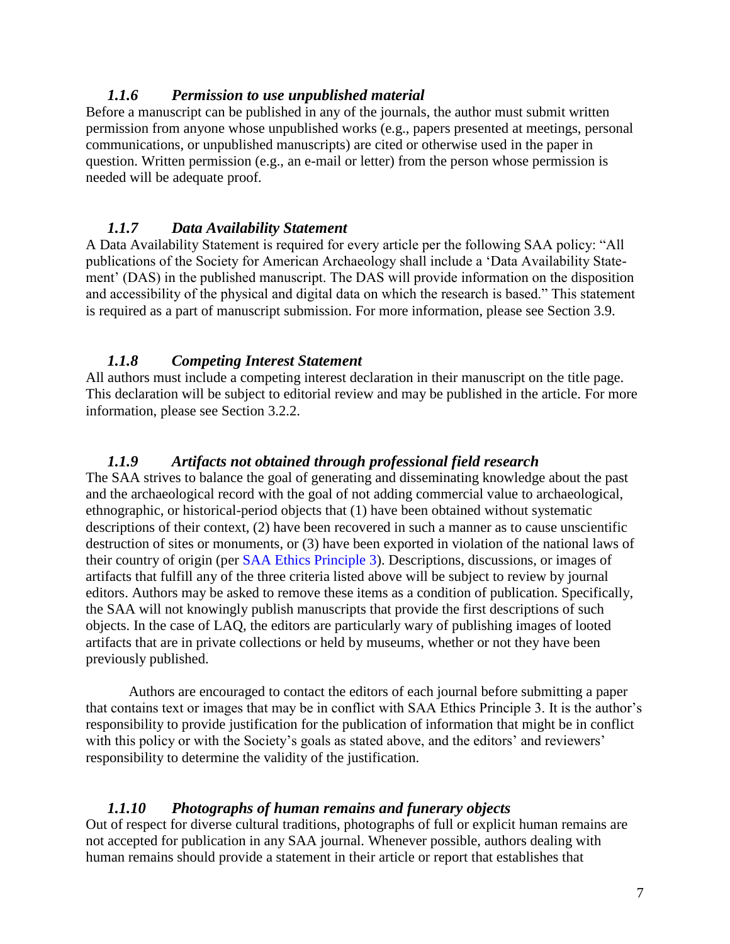#### *1.1.6 Permission to use unpublished material*

Before a manuscript can be published in any of the journals, the author must submit written permission from anyone whose unpublished works (e.g., papers presented at meetings, personal communications, or unpublished manuscripts) are cited or otherwise used in the paper in question. Written permission (e.g., an e-mail or letter) from the person whose permission is needed will be adequate proof.

#### *1.1.7 Data Availability Statement*

A Data Availability Statement is required for every article per the following SAA policy: "All publications of the Society for American Archaeology shall include a 'Data Availability Statement' (DAS) in the published manuscript. The DAS will provide information on the disposition and accessibility of the physical and digital data on which the research is based." This statement is required as a part of manuscript submission. For more information, please see Section 3.9.

#### *1.1.8 Competing Interest Statement*

All authors must include a competing interest declaration in their manuscript on the title page. This declaration will be subject to editorial review and may be published in the article. For more information, please see Section 3.2.2.

#### *1.1.9 Artifacts not obtained through professional field research*

The SAA strives to balance the goal of generating and disseminating knowledge about the past and the archaeological record with the goal of not adding commercial value to archaeological, ethnographic, or historical-period objects that (1) have been obtained without systematic descriptions of their context, (2) have been recovered in such a manner as to cause unscientific destruction of sites or monuments, or (3) have been exported in violation of the national laws of their country of origin (per [SAA Ethics Principle 3\)](https://www.saa.org/career-practice/ethics-in-professional-archaeology). Descriptions, discussions, or images of artifacts that fulfill any of the three criteria listed above will be subject to review by journal editors. Authors may be asked to remove these items as a condition of publication. Specifically, the SAA will not knowingly publish manuscripts that provide the first descriptions of such objects. In the case of LAQ, the editors are particularly wary of publishing images of looted artifacts that are in private collections or held by museums, whether or not they have been previously published.

Authors are encouraged to contact the editors of each journal before submitting a paper that contains text or images that may be in conflict with SAA Ethics Principle 3. It is the author's responsibility to provide justification for the publication of information that might be in conflict with this policy or with the Society's goals as stated above, and the editors' and reviewers' responsibility to determine the validity of the justification.

#### *1.1.10 Photographs of human remains and funerary objects*

Out of respect for diverse cultural traditions, photographs of full or explicit human remains are not accepted for publication in any SAA journal. Whenever possible, authors dealing with human remains should provide a statement in their article or report that establishes that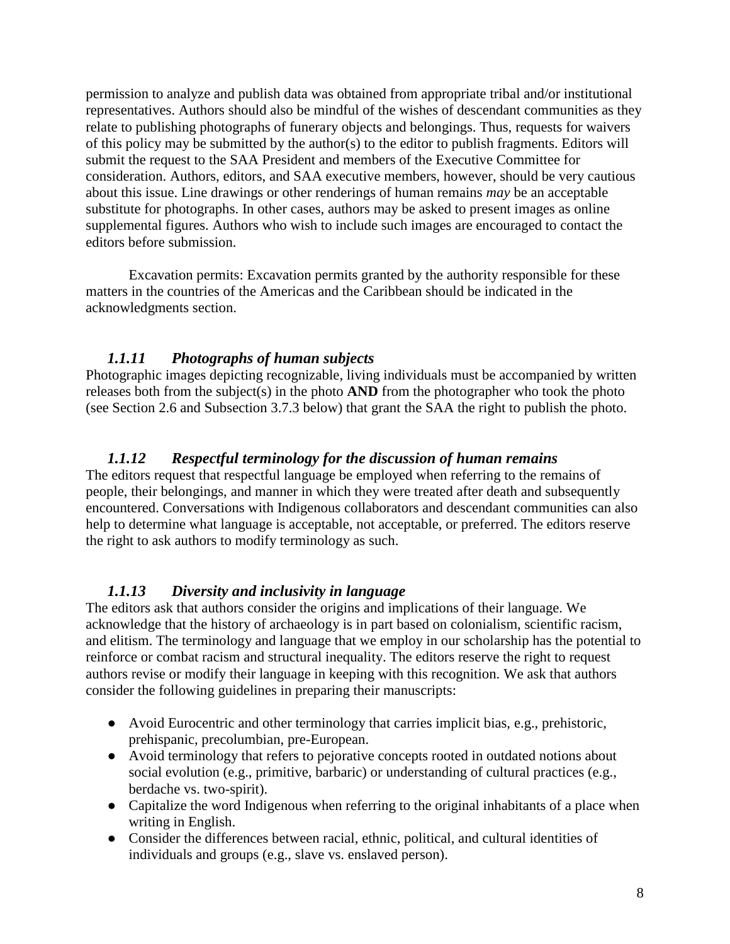permission to analyze and publish data was obtained from appropriate tribal and/or institutional representatives. Authors should also be mindful of the wishes of descendant communities as they relate to publishing photographs of funerary objects and belongings. Thus, requests for waivers of this policy may be submitted by the author(s) to the editor to publish fragments. Editors will submit the request to the SAA President and members of the Executive Committee for consideration. Authors, editors, and SAA executive members, however, should be very cautious about this issue. Line drawings or other renderings of human remains *may* be an acceptable substitute for photographs. In other cases, authors may be asked to present images as online supplemental figures. Authors who wish to include such images are encouraged to contact the editors before submission.

Excavation permits: Excavation permits granted by the authority responsible for these matters in the countries of the Americas and the Caribbean should be indicated in the acknowledgments section.

### *1.1.11 Photographs of human subjects*

Photographic images depicting recognizable, living individuals must be accompanied by written releases both from the subject(s) in the photo **AND** from the photographer who took the photo (see Section 2.6 and Subsection 3.7.3 below) that grant the SAA the right to publish the photo.

## *1.1.12 Respectful terminology for the discussion of human remains*

The editors request that respectful language be employed when referring to the remains of people, their belongings, and manner in which they were treated after death and subsequently encountered. Conversations with Indigenous collaborators and descendant communities can also help to determine what language is acceptable, not acceptable, or preferred. The editors reserve the right to ask authors to modify terminology as such.

#### *1.1.13 Diversity and inclusivity in language*

The editors ask that authors consider the origins and implications of their language. We acknowledge that the history of archaeology is in part based on colonialism, scientific racism, and elitism. The terminology and language that we employ in our scholarship has the potential to reinforce or combat racism and structural inequality. The editors reserve the right to request authors revise or modify their language in keeping with this recognition. We ask that authors consider the following guidelines in preparing their manuscripts:

- Avoid Eurocentric and other terminology that carries implicit bias, e.g., prehistoric, prehispanic, precolumbian, pre-European.
- Avoid terminology that refers to pejorative concepts rooted in outdated notions about social evolution (e.g., primitive, barbaric) or understanding of cultural practices (e.g., berdache vs. two-spirit).
- Capitalize the word Indigenous when referring to the original inhabitants of a place when writing in English.
- Consider the differences between racial, ethnic, political, and cultural identities of individuals and groups (e.g., slave vs. enslaved person).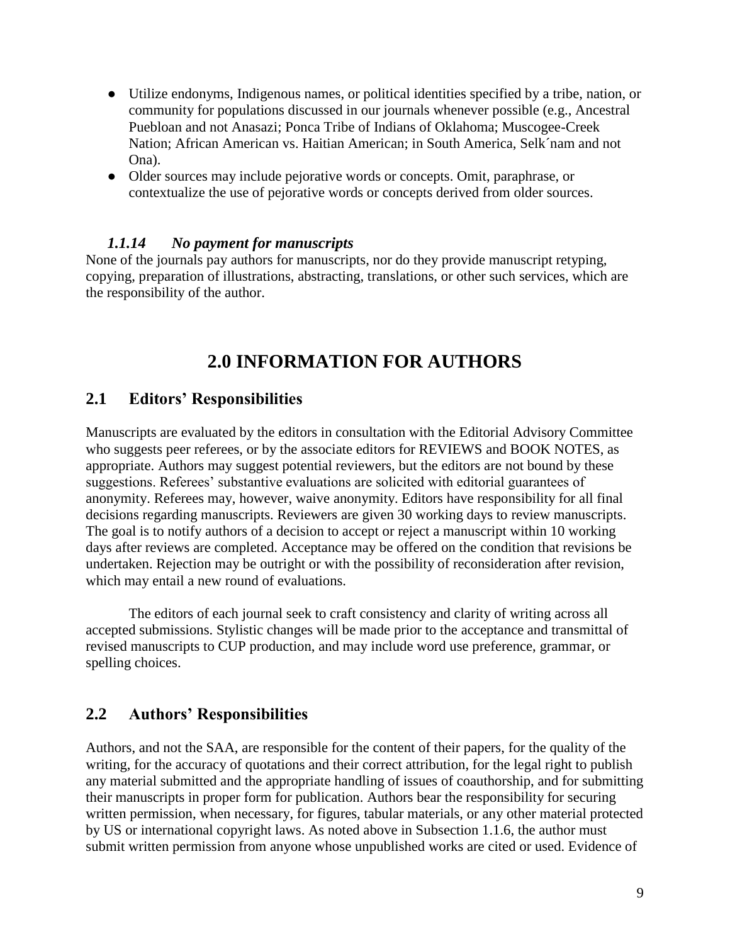- Utilize endonyms, Indigenous names, or political identities specified by a tribe, nation, or community for populations discussed in our journals whenever possible (e.g., Ancestral Puebloan and not Anasazi; Ponca Tribe of Indians of Oklahoma; Muscogee-Creek Nation; African American vs. Haitian American; in South America, Selk´nam and not Ona).
- Older sources may include pejorative words or concepts. Omit, paraphrase, or contextualize the use of pejorative words or concepts derived from older sources.

#### *1.1.14 No payment for manuscripts*

None of the journals pay authors for manuscripts, nor do they provide manuscript retyping, copying, preparation of illustrations, abstracting, translations, or other such services, which are the responsibility of the author.

# **2.0 INFORMATION FOR AUTHORS**

# **2.1 Editors' Responsibilities**

Manuscripts are evaluated by the editors in consultation with the Editorial Advisory Committee who suggests peer referees, or by the associate editors for REVIEWS and BOOK NOTES, as appropriate. Authors may suggest potential reviewers, but the editors are not bound by these suggestions. Referees' substantive evaluations are solicited with editorial guarantees of anonymity. Referees may, however, waive anonymity. Editors have responsibility for all final decisions regarding manuscripts. Reviewers are given 30 working days to review manuscripts. The goal is to notify authors of a decision to accept or reject a manuscript within 10 working days after reviews are completed. Acceptance may be offered on the condition that revisions be undertaken. Rejection may be outright or with the possibility of reconsideration after revision, which may entail a new round of evaluations.

The editors of each journal seek to craft consistency and clarity of writing across all accepted submissions. Stylistic changes will be made prior to the acceptance and transmittal of revised manuscripts to CUP production, and may include word use preference, grammar, or spelling choices.

## **2.2 Authors' Responsibilities**

Authors, and not the SAA, are responsible for the content of their papers, for the quality of the writing, for the accuracy of quotations and their correct attribution, for the legal right to publish any material submitted and the appropriate handling of issues of coauthorship, and for submitting their manuscripts in proper form for publication. Authors bear the responsibility for securing written permission, when necessary, for figures, tabular materials, or any other material protected by US or international copyright laws. As noted above in Subsection 1.1.6, the author must submit written permission from anyone whose unpublished works are cited or used. Evidence of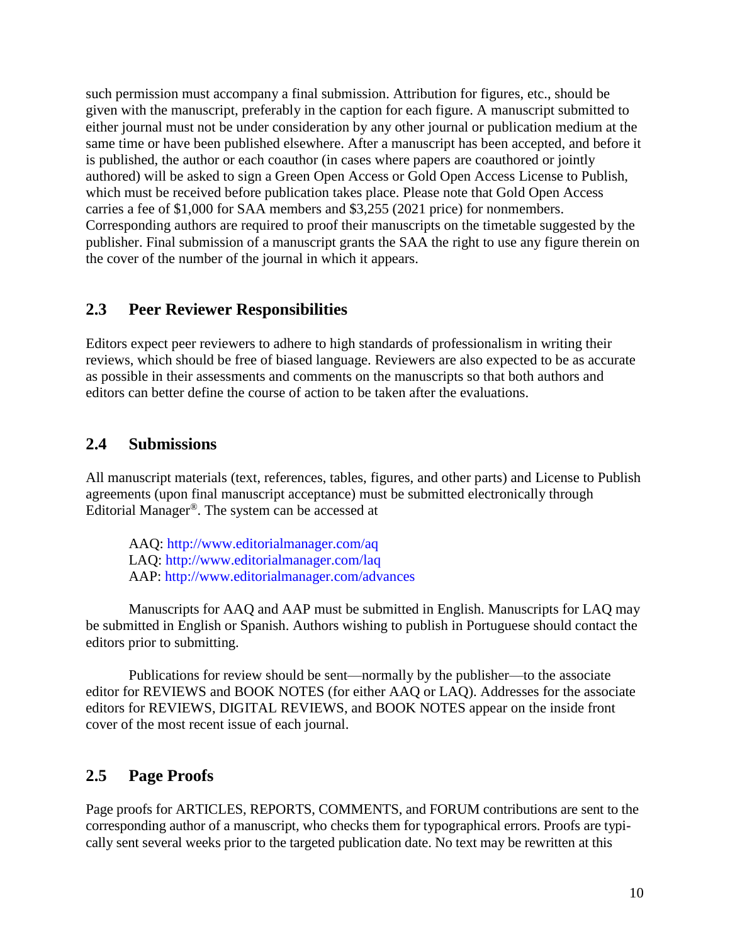such permission must accompany a final submission. Attribution for figures, etc., should be given with the manuscript, preferably in the caption for each figure. A manuscript submitted to either journal must not be under consideration by any other journal or publication medium at the same time or have been published elsewhere. After a manuscript has been accepted, and before it is published, the author or each coauthor (in cases where papers are coauthored or jointly authored) will be asked to sign a Green Open Access or Gold Open Access License to Publish, which must be received before publication takes place. Please note that Gold Open Access carries a fee of \$1,000 for SAA members and \$3,255 (2021 price) for nonmembers. Corresponding authors are required to proof their manuscripts on the timetable suggested by the publisher. Final submission of a manuscript grants the SAA the right to use any figure therein on the cover of the number of the journal in which it appears.

## **2.3 Peer Reviewer Responsibilities**

Editors expect peer reviewers to adhere to high standards of professionalism in writing their reviews, which should be free of biased language. Reviewers are also expected to be as accurate as possible in their assessments and comments on the manuscripts so that both authors and editors can better define the course of action to be taken after the evaluations.

# **2.4 Submissions**

All manuscript materials (text, references, tables, figures, and other parts) and License to Publish agreements (upon final manuscript acceptance) must be submitted electronically through Editorial Manager®. The system can be accessed at

AAQ:<http://www.editorialmanager.com/aq> LAQ:<http://www.editorialmanager.com/laq> AAP:<http://www.editorialmanager.com/advances>

Manuscripts for AAQ and AAP must be submitted in English. Manuscripts for LAQ may be submitted in English or Spanish. Authors wishing to publish in Portuguese should contact the editors prior to submitting.

Publications for review should be sent—normally by the publisher—to the associate editor for REVIEWS and BOOK NOTES (for either AAQ or LAQ). Addresses for the associate editors for REVIEWS, DIGITAL REVIEWS, and BOOK NOTES appear on the inside front cover of the most recent issue of each journal.

# **2.5 Page Proofs**

Page proofs for ARTICLES, REPORTS, COMMENTS, and FORUM contributions are sent to the corresponding author of a manuscript, who checks them for typographical errors. Proofs are typically sent several weeks prior to the targeted publication date. No text may be rewritten at this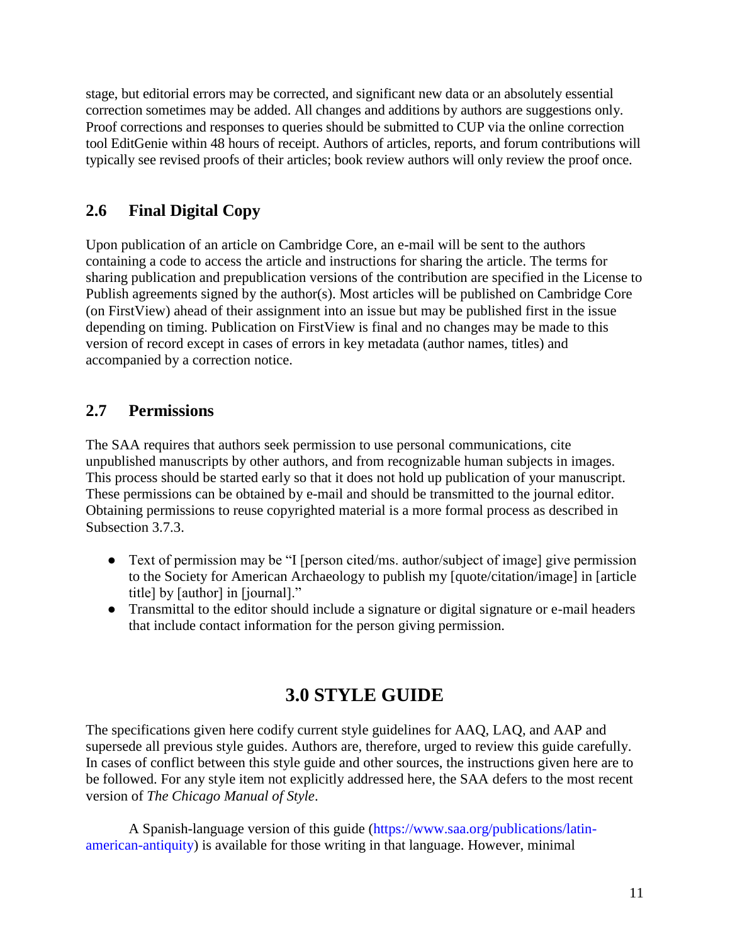stage, but editorial errors may be corrected, and significant new data or an absolutely essential correction sometimes may be added. All changes and additions by authors are suggestions only. Proof corrections and responses to queries should be submitted to CUP via the online correction tool EditGenie within 48 hours of receipt. Authors of articles, reports, and forum contributions will typically see revised proofs of their articles; book review authors will only review the proof once.

# **2.6 Final Digital Copy**

Upon publication of an article on Cambridge Core, an e-mail will be sent to the authors containing a code to access the article and instructions for sharing the article. The terms for sharing publication and prepublication versions of the contribution are specified in the License to Publish agreements signed by the author(s). Most articles will be published on Cambridge Core (on FirstView) ahead of their assignment into an issue but may be published first in the issue depending on timing. Publication on FirstView is final and no changes may be made to this version of record except in cases of errors in key metadata (author names, titles) and accompanied by a correction notice.

# **2.7 Permissions**

The SAA requires that authors seek permission to use personal communications, cite unpublished manuscripts by other authors, and from recognizable human subjects in images. This process should be started early so that it does not hold up publication of your manuscript. These permissions can be obtained by e-mail and should be transmitted to the journal editor. Obtaining permissions to reuse copyrighted material is a more formal process as described in Subsection 3.7.3.

- Text of permission may be "I [person cited/ms. author/subject of image] give permission to the Society for American Archaeology to publish my [quote/citation/image] in [article title] by [author] in [journal]."
- Transmittal to the editor should include a signature or digital signature or e-mail headers that include contact information for the person giving permission.

# **3.0 STYLE GUIDE**

The specifications given here codify current style guidelines for AAQ, LAQ, and AAP and supersede all previous style guides. Authors are, therefore, urged to review this guide carefully. In cases of conflict between this style guide and other sources, the instructions given here are to be followed. For any style item not explicitly addressed here, the SAA defers to the most recent version of *The Chicago Manual of Style*.

A Spanish-language version of this guide [\(https://www.saa.org/publications/latin](https://www.saa.org/publications/latin-american-antiquity)[american-antiquity\)](https://www.saa.org/publications/latin-american-antiquity) is available for those writing in that language. However, minimal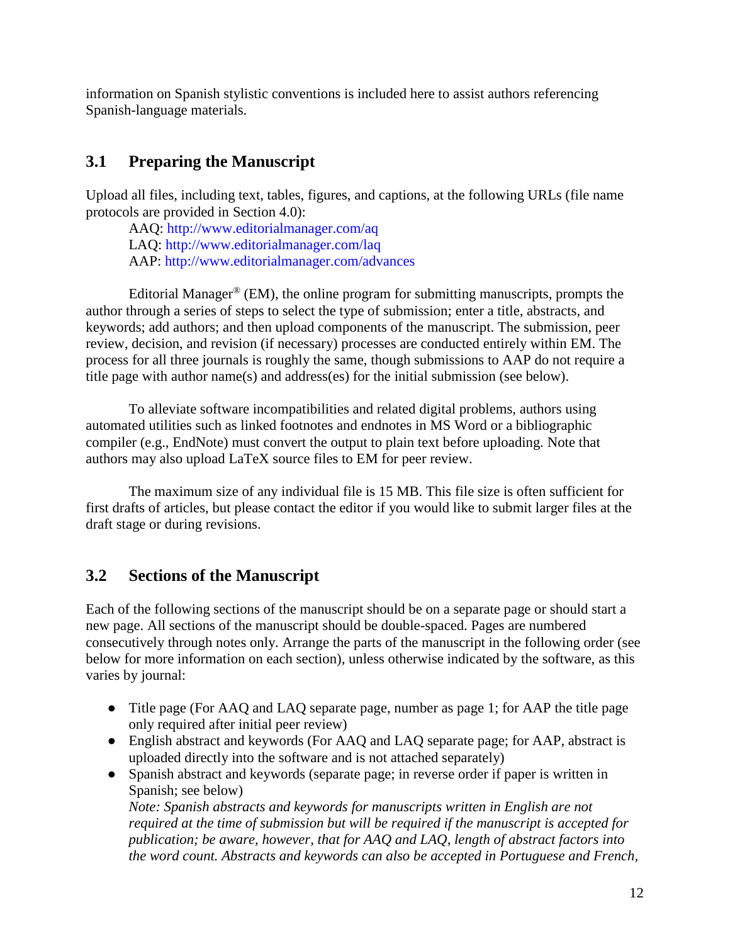information on Spanish stylistic conventions is included here to assist authors referencing Spanish-language materials.

# **3.1 Preparing the Manuscript**

Upload all files, including text, tables, figures, and captions, at the following URLs (file name protocols are provided in Section 4.0):

AAQ:<http://www.editorialmanager.com/aq> LAQ:<http://www.editorialmanager.com/laq> AAP:<http://www.editorialmanager.com/advances>

Editorial Manager<sup>®</sup> (EM), the online program for submitting manuscripts, prompts the author through a series of steps to select the type of submission; enter a title, abstracts, and keywords; add authors; and then upload components of the manuscript. The submission, peer review, decision, and revision (if necessary) processes are conducted entirely within EM. The process for all three journals is roughly the same, though submissions to AAP do not require a title page with author name(s) and address(es) for the initial submission (see below).

To alleviate software incompatibilities and related digital problems, authors using automated utilities such as linked footnotes and endnotes in MS Word or a bibliographic compiler (e.g., EndNote) must convert the output to plain text before uploading. Note that authors may also upload LaTeX source files to EM for peer review.

The maximum size of any individual file is 15 MB. This file size is often sufficient for first drafts of articles, but please contact the editor if you would like to submit larger files at the draft stage or during revisions.

# **3.2 Sections of the Manuscript**

Each of the following sections of the manuscript should be on a separate page or should start a new page. All sections of the manuscript should be double-spaced. Pages are numbered consecutively through notes only. Arrange the parts of the manuscript in the following order (see below for more information on each section), unless otherwise indicated by the software, as this varies by journal:

- Title page (For AAQ and LAQ separate page, number as page 1; for AAP the title page only required after initial peer review)
- English abstract and keywords (For AAQ and LAQ separate page; for AAP, abstract is uploaded directly into the software and is not attached separately)
- Spanish abstract and keywords (separate page; in reverse order if paper is written in Spanish; see below)

*Note: Spanish abstracts and keywords for manuscripts written in English are not required at the time of submission but will be required if the manuscript is accepted for publication; be aware, however, that for AAQ and LAQ, length of abstract factors into the word count. Abstracts and keywords can also be accepted in Portuguese and French,*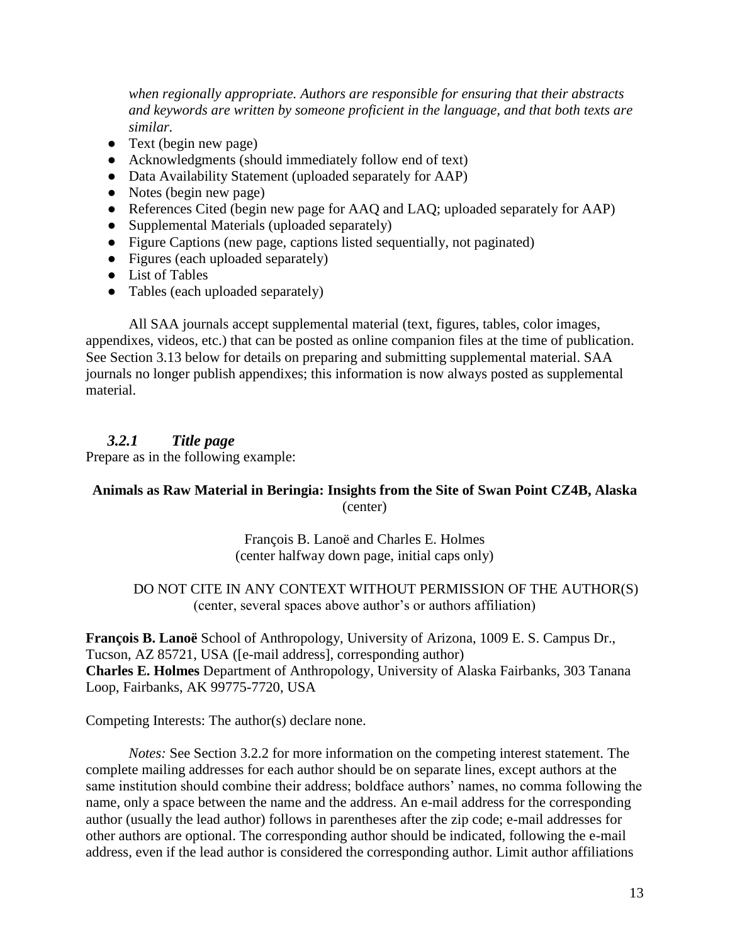*when regionally appropriate. Authors are responsible for ensuring that their abstracts and keywords are written by someone proficient in the language, and that both texts are similar.*

- Text (begin new page)
- Acknowledgments (should immediately follow end of text)
- Data Availability Statement (uploaded separately for AAP)
- Notes (begin new page)
- References Cited (begin new page for AAQ and LAQ; uploaded separately for AAP)
- Supplemental Materials (uploaded separately)
- Figure Captions (new page, captions listed sequentially, not paginated)
- Figures (each uploaded separately)
- List of Tables
- Tables (each uploaded separately)

All SAA journals accept supplemental material (text, figures, tables, color images, appendixes, videos, etc.) that can be posted as online companion files at the time of publication. See Section 3.13 below for details on preparing and submitting supplemental material. SAA journals no longer publish appendixes; this information is now always posted as supplemental material.

#### *3.2.1 Title page*

Prepare as in the following example:

#### **Animals as Raw Material in Beringia: Insights from the Site of Swan Point CZ4B, Alaska** (center)

François B. Lanoë and Charles E. Holmes (center halfway down page, initial caps only)

#### DO NOT CITE IN ANY CONTEXT WITHOUT PERMISSION OF THE AUTHOR(S) (center, several spaces above author's or authors affiliation)

**François B. Lanoë** School of Anthropology, University of Arizona, 1009 E. S. Campus Dr., Tucson, AZ 85721, USA [\(\[e-mail](mailto:lanoe@email.arizona.edu) address], corresponding author) **Charles E. Holmes** Department of Anthropology, University of Alaska Fairbanks, 303 Tanana Loop, Fairbanks, AK 99775-7720, USA

Competing Interests: The author(s) declare none.

*Notes:* See Section 3.2.2 for more information on the competing interest statement. The complete mailing addresses for each author should be on separate lines, except authors at the same institution should combine their address; boldface authors' names, no comma following the name, only a space between the name and the address. An e-mail address for the corresponding author (usually the lead author) follows in parentheses after the zip code; e-mail addresses for other authors are optional. The corresponding author should be indicated, following the e-mail address, even if the lead author is considered the corresponding author. Limit author affiliations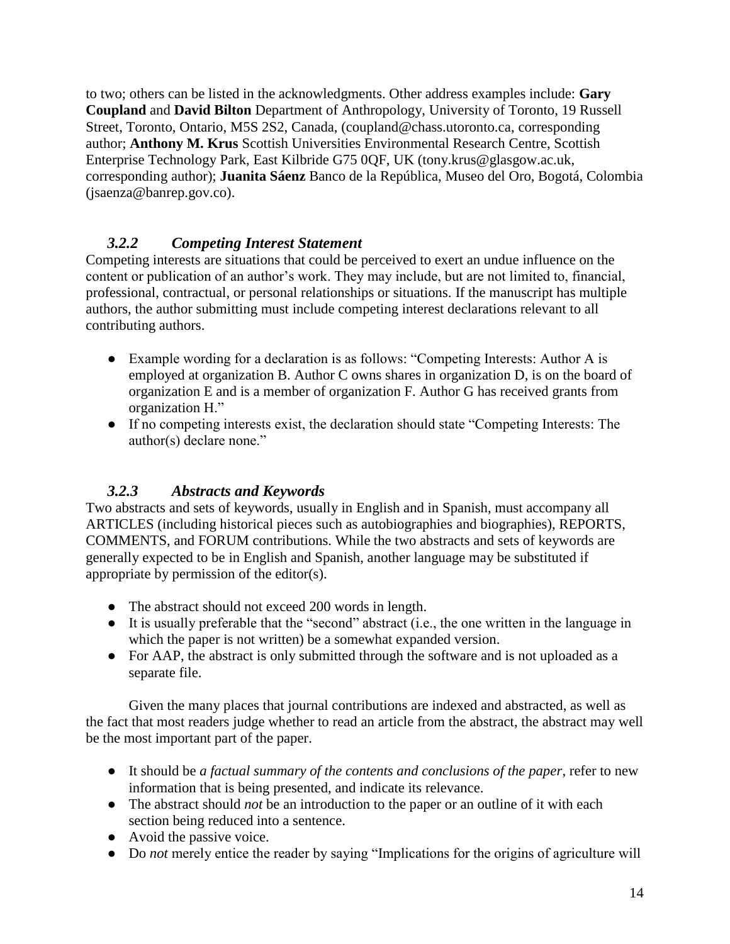to two; others can be listed in the acknowledgments. Other address examples include: **Gary Coupland** and **David Bilton** Department of Anthropology, University of Toronto, 19 Russell Street, Toronto, Ontario, M5S 2S2, Canada, [\(coupland@chass.utoronto.ca,](mailto:coupland@chass.utoronto.ca) corresponding author; **Anthony M. Krus** Scottish Universities Environmental Research Centre, Scottish Enterprise Technology Park, East Kilbride G75 0QF, UK [\(tony.krus@glasgow.ac.uk,](mailto:tony.krus@glasgow.ac.uk) corresponding author); **Juanita Sáenz** Banco de la República, Museo del Oro, Bogotá, Colombia (jsaenza@banrep.gov.co).

# *3.2.2 Competing Interest Statement*

Competing interests are situations that could be perceived to exert an undue influence on the content or publication of an author's work. They may include, but are not limited to, financial, professional, contractual, or personal relationships or situations. If the manuscript has multiple authors, the author submitting must include competing interest declarations relevant to all contributing authors.

- Example wording for a declaration is as follows: "Competing Interests: Author A is employed at organization B. Author C owns shares in organization D, is on the board of organization E and is a member of organization F. Author G has received grants from organization H."
- If no competing interests exist, the declaration should state "Competing Interests: The author(s) declare none."

## *3.2.3 Abstracts and Keywords*

Two abstracts and sets of keywords, usually in English and in Spanish, must accompany all ARTICLES (including historical pieces such as autobiographies and biographies), REPORTS, COMMENTS, and FORUM contributions. While the two abstracts and sets of keywords are generally expected to be in English and Spanish, another language may be substituted if appropriate by permission of the editor(s).

- The abstract should not exceed 200 words in length.
- It is usually preferable that the "second" abstract (i.e., the one written in the language in which the paper is not written) be a somewhat expanded version.
- For AAP, the abstract is only submitted through the software and is not uploaded as a separate file.

Given the many places that journal contributions are indexed and abstracted, as well as the fact that most readers judge whether to read an article from the abstract, the abstract may well be the most important part of the paper.

- It should be *a factual summary of the contents and conclusions of the paper*, refer to new information that is being presented, and indicate its relevance.
- The abstract should *not* be an introduction to the paper or an outline of it with each section being reduced into a sentence.
- Avoid the passive voice.
- Do *not* merely entice the reader by saying "Implications for the origins of agriculture will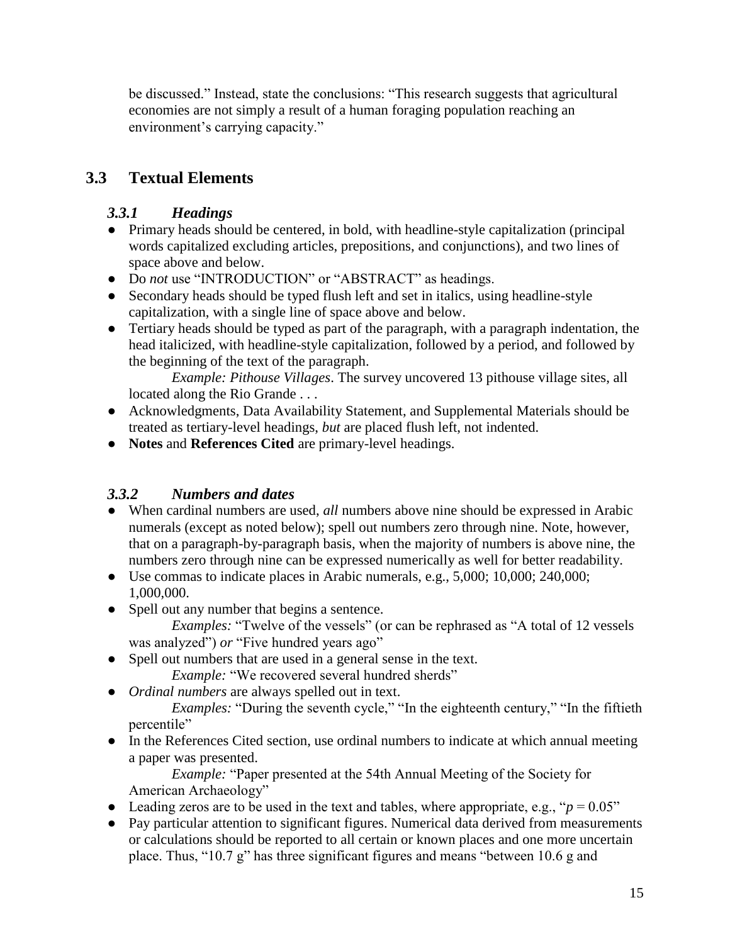be discussed." Instead, state the conclusions: "This research suggests that agricultural economies are not simply a result of a human foraging population reaching an environment's carrying capacity."

# **3.3 Textual Elements**

# *3.3.1 Headings*

- Primary heads should be centered, in bold, with headline-style capitalization (principal words capitalized excluding articles, prepositions, and conjunctions), and two lines of space above and below.
- Do *not* use "INTRODUCTION" or "ABSTRACT" as headings.
- Secondary heads should be typed flush left and set in italics, using headline-style capitalization, with a single line of space above and below.
- Tertiary heads should be typed as part of the paragraph, with a paragraph indentation, the head italicized, with headline-style capitalization, followed by a period, and followed by the beginning of the text of the paragraph.

*Example: Pithouse Villages*. The survey uncovered 13 pithouse village sites, all located along the Rio Grande . . .

- Acknowledgments, Data Availability Statement, and Supplemental Materials should be treated as tertiary-level headings, *but* are placed flush left, not indented.
- **Notes** and **References Cited** are primary-level headings.

# *3.3.2 Numbers and dates*

- When cardinal numbers are used, *all* numbers above nine should be expressed in Arabic numerals (except as noted below); spell out numbers zero through nine. Note, however, that on a paragraph-by-paragraph basis, when the majority of numbers is above nine, the numbers zero through nine can be expressed numerically as well for better readability.
- Use commas to indicate places in Arabic numerals, e.g., 5,000; 10,000; 240,000; 1,000,000.
- Spell out any number that begins a sentence.

*Examples:* "Twelve of the vessels" (or can be rephrased as "A total of 12 vessels was analyzed") *or* "Five hundred years ago"

● Spell out numbers that are used in a general sense in the text.

*Example:* "We recovered several hundred sherds"

● *Ordinal numbers* are always spelled out in text.

*Examples:* "During the seventh cycle," "In the eighteenth century," "In the fiftieth percentile"

● In the References Cited section, use ordinal numbers to indicate at which annual meeting a paper was presented.

*Example:* "Paper presented at the 54th Annual Meeting of the Society for American Archaeology"

- Leading zeros are to be used in the text and tables, where appropriate, e.g., " $p = 0.05$ "
- Pay particular attention to significant figures. Numerical data derived from measurements or calculations should be reported to all certain or known places and one more uncertain place. Thus, "10.7 g" has three significant figures and means "between 10.6 g and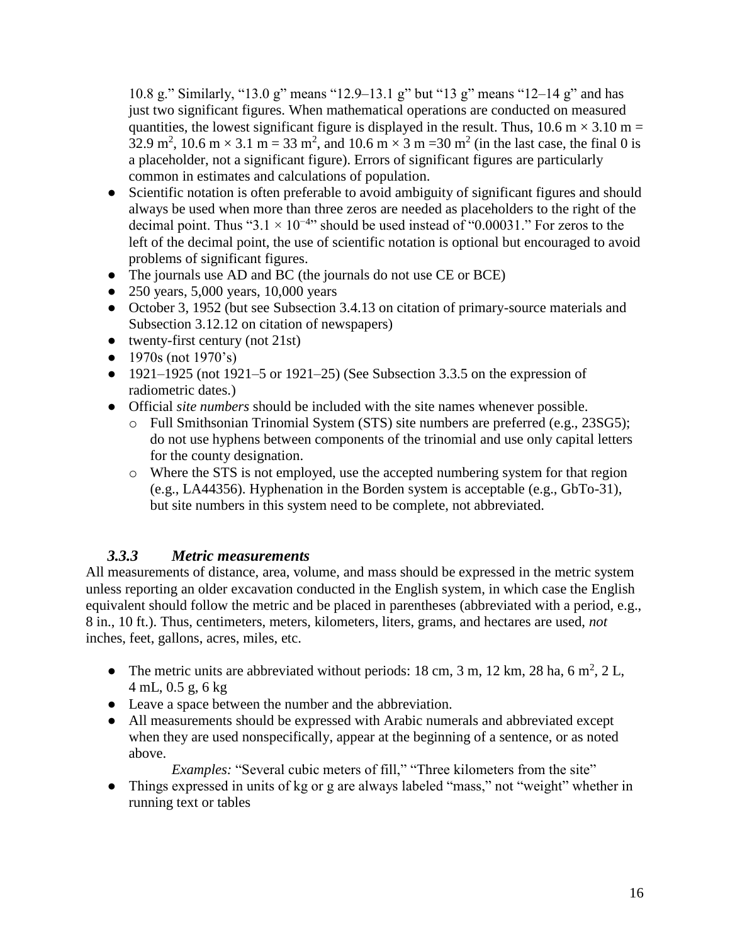10.8 g." Similarly, "13.0 g" means "12.9‒13.1 g" but "13 g" means "12‒14 g" and has just two significant figures. When mathematical operations are conducted on measured quantities, the lowest significant figure is displayed in the result. Thus, 10.6 m  $\times$  3.10 m = 32.9 m<sup>2</sup>, 10.6 m  $\times$  3.1 m = 33 m<sup>2</sup>, and 10.6 m  $\times$  3 m = 30 m<sup>2</sup> (in the last case, the final 0 is a placeholder, not a significant figure). Errors of significant figures are particularly common in estimates and calculations of population.

- Scientific notation is often preferable to avoid ambiguity of significant figures and should always be used when more than three zeros are needed as placeholders to the right of the decimal point. Thus "3.1  $\times$  10<sup>-4</sup>" should be used instead of "0.00031." For zeros to the left of the decimal point, the use of scientific notation is optional but encouraged to avoid problems of significant figures.
- The journals use AD and BC (the journals do not use CE or BCE)
- 250 years, 5,000 years, 10,000 years
- October 3, 1952 (but see Subsection 3.4.13 on citation of primary-source materials and Subsection 3.12.12 on citation of newspapers)
- $\bullet$  twenty-first century (not 21st)
- 1970s (not  $1970$ 's)
- $\bullet$  1921–1925 (not 1921–5 or 1921–25) (See Subsection 3.3.5 on the expression of radiometric dates.)
- Official *site numbers* should be included with the site names whenever possible.
	- o Full Smithsonian Trinomial System (STS) site numbers are preferred (e.g., 23SG5); do not use hyphens between components of the trinomial and use only capital letters for the county designation.
	- o Where the STS is not employed, use the accepted numbering system for that region (e.g., LA44356). Hyphenation in the Borden system is acceptable (e.g., GbTo-31), but site numbers in this system need to be complete, not abbreviated.

## *3.3.3 Metric measurements*

All measurements of distance, area, volume, and mass should be expressed in the metric system unless reporting an older excavation conducted in the English system, in which case the English equivalent should follow the metric and be placed in parentheses (abbreviated with a period, e.g., 8 in., 10 ft.). Thus, centimeters, meters, kilometers, liters, grams, and hectares are used, *not* inches, feet, gallons, acres, miles, etc.

- The metric units are abbreviated without periods: 18 cm, 3 m, 12 km, 28 ha, 6 m<sup>2</sup>, 2 L, 4 mL, 0.5 g, 6 kg
- Leave a space between the number and the abbreviation.
- All measurements should be expressed with Arabic numerals and abbreviated except when they are used nonspecifically, appear at the beginning of a sentence, or as noted above.

*Examples:* "Several cubic meters of fill," "Three kilometers from the site"

● Things expressed in units of kg or g are always labeled "mass," not "weight" whether in running text or tables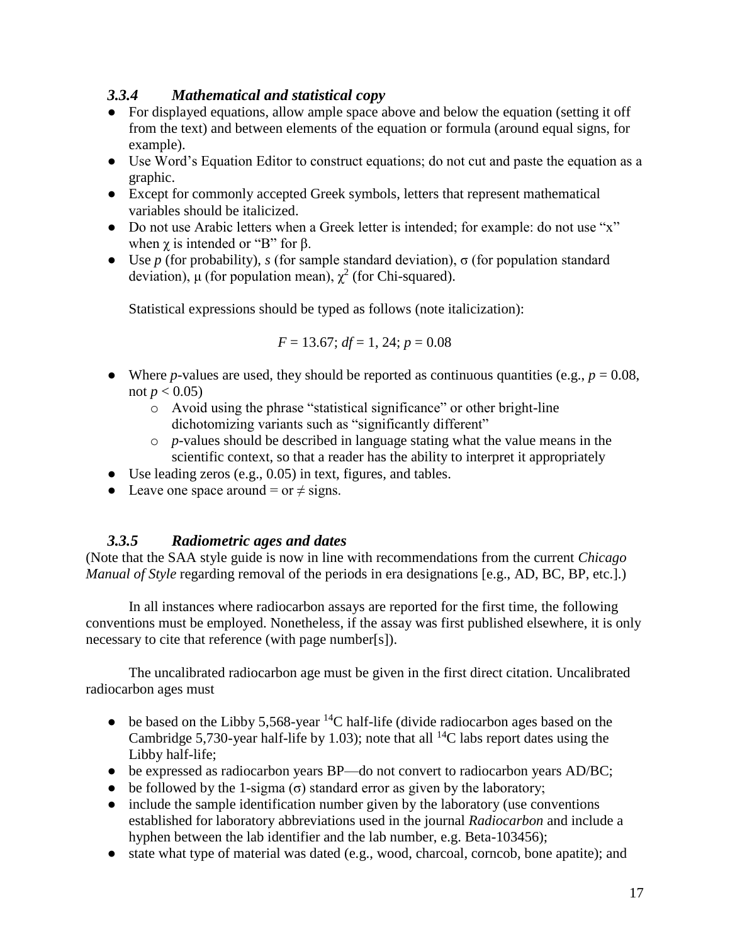# *3.3.4 Mathematical and statistical copy*

- For displayed equations, allow ample space above and below the equation (setting it off from the text) and between elements of the equation or formula (around equal signs, for example).
- Use Word's Equation Editor to construct equations; do not cut and paste the equation as a graphic.
- Except for commonly accepted Greek symbols, letters that represent mathematical variables should be italicized.
- Do not use Arabic letters when a Greek letter is intended; for example: do not use "x" when  $\gamma$  is intended or "B" for  $\beta$ .
- **•** Use *p* (for probability), *s* (for sample standard deviation),  $\sigma$  (for population standard deviation),  $\mu$  (for population mean),  $\chi^2$  (for Chi-squared).

Statistical expressions should be typed as follows (note italicization):

$$
F = 13.67
$$
;  $df = 1$ , 24;  $p = 0.08$ 

- Where *p*-values are used, they should be reported as continuous quantities (e.g.,  $p = 0.08$ , not *p* < 0.05)
	- o Avoid using the phrase "statistical significance" or other bright-line dichotomizing variants such as "significantly different"
	- o *p*-values should be described in language stating what the value means in the scientific context, so that a reader has the ability to interpret it appropriately
- $\bullet$  Use leading zeros (e.g., 0.05) in text, figures, and tables.
- Leave one space around = or  $\neq$  signs.

## *3.3.5 Radiometric ages and dates*

(Note that the SAA style guide is now in line with recommendations from the current *Chicago Manual of Style* regarding removal of the periods in era designations [e.g., AD, BC, BP, etc.].)

In all instances where radiocarbon assays are reported for the first time, the following conventions must be employed. Nonetheless, if the assay was first published elsewhere, it is only necessary to cite that reference (with page number[s]).

The uncalibrated radiocarbon age must be given in the first direct citation. Uncalibrated radiocarbon ages must

- be based on the Libby 5,568-year <sup>14</sup>C half-life (divide radiocarbon ages based on the Cambridge 5,730-year half-life by 1.03); note that all <sup>14</sup>C labs report dates using the Libby half-life;
- be expressed as radiocarbon years BP—do not convert to radiocarbon years AD/BC;
- be followed by the 1-sigma ( $\sigma$ ) standard error as given by the laboratory;
- include the sample identification number given by the laboratory (use conventions established for laboratory abbreviations used in the journal *Radiocarbon* and include a hyphen between the lab identifier and the lab number, e.g. Beta-103456);
- state what type of material was dated (e.g., wood, charcoal, corncob, bone apatite); and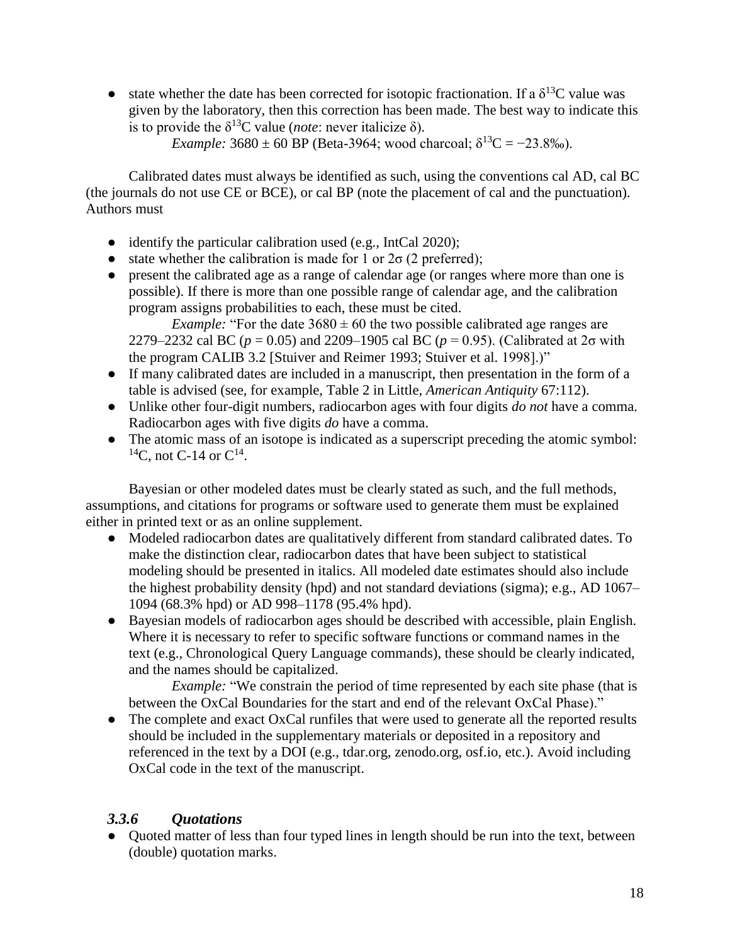• state whether the date has been corrected for isotopic fractionation. If a  $\delta^{13}C$  value was given by the laboratory, then this correction has been made. The best way to indicate this is to provide the  $\delta^{13}$ C value (*note*: never italicize  $\delta$ ).

*Example:*  $3680 \pm 60$  BP (Beta-3964; wood charcoal;  $\delta^{13}C = -23.8\%$ ).

Calibrated dates must always be identified as such, using the conventions cal AD, cal BC (the journals do not use CE or BCE), or cal BP (note the placement of cal and the punctuation). Authors must

- identify the particular calibration used (e.g., IntCal 2020);
- state whether the calibration is made for 1 or  $2\sigma$  (2 preferred);
- present the calibrated age as a range of calendar age (or ranges where more than one is possible). If there is more than one possible range of calendar age, and the calibration program assigns probabilities to each, these must be cited.

*Example:* "For the date  $3680 \pm 60$  the two possible calibrated age ranges are 2279–2232 cal BC ( $p = 0.05$ ) and 2209–1905 cal BC ( $p = 0.95$ ). (Calibrated at 2 $\sigma$  with the program CALIB 3.2 [Stuiver and Reimer 1993; Stuiver et al. 1998].)"

- If many calibrated dates are included in a manuscript, then presentation in the form of a table is advised (see, for example, Table 2 in Little, *American Antiquity* 67:112).
- Unlike other four-digit numbers, radiocarbon ages with four digits *do not* have a comma. Radiocarbon ages with five digits *do* have a comma.
- The atomic mass of an isotope is indicated as a superscript preceding the atomic symbol: <sup>14</sup>C, not C-14 or  $C^{14}$ .

Bayesian or other modeled dates must be clearly stated as such, and the full methods, assumptions, and citations for programs or software used to generate them must be explained either in printed text or as an online supplement.

- Modeled radiocarbon dates are qualitatively different from standard calibrated dates. To make the distinction clear, radiocarbon dates that have been subject to statistical modeling should be presented in italics. All modeled date estimates should also include the highest probability density (hpd) and not standard deviations (sigma); e.g., AD 1067– 1094 (68.3% hpd) or AD 998–1178 (95.4% hpd).
- Bayesian models of radiocarbon ages should be described with accessible, plain English. Where it is necessary to refer to specific software functions or command names in the text (e.g., Chronological Query Language commands), these should be clearly indicated, and the names should be capitalized.

*Example:* "We constrain the period of time represented by each site phase (that is between the OxCal Boundaries for the start and end of the relevant OxCal Phase)."

• The complete and exact OxCal runfiles that were used to generate all the reported results should be included in the supplementary materials or deposited in a repository and referenced in the text by a DOI (e.g., tdar.org, zenodo.org, osf.io, etc.). Avoid including OxCal code in the text of the manuscript.

## *3.3.6 Quotations*

• Quoted matter of less than four typed lines in length should be run into the text, between (double) quotation marks.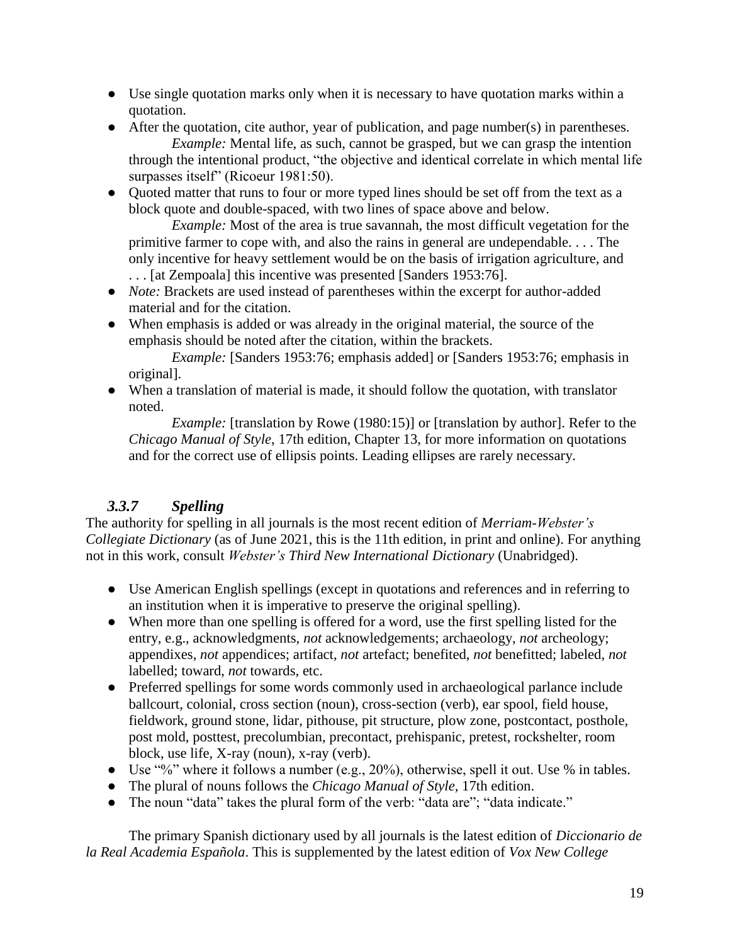- Use single quotation marks only when it is necessary to have quotation marks within a quotation.
- After the quotation, cite author, year of publication, and page number(s) in parentheses. *Example:* Mental life, as such, cannot be grasped, but we can grasp the intention through the intentional product, "the objective and identical correlate in which mental life surpasses itself" (Ricoeur 1981:50).
- Quoted matter that runs to four or more typed lines should be set off from the text as a block quote and double-spaced, with two lines of space above and below.

*Example:* Most of the area is true savannah, the most difficult vegetation for the primitive farmer to cope with, and also the rains in general are undependable. . . . The only incentive for heavy settlement would be on the basis of irrigation agriculture, and . . . [at Zempoala] this incentive was presented [Sanders 1953:76].

- *Note:* Brackets are used instead of parentheses within the excerpt for author-added material and for the citation.
- When emphasis is added or was already in the original material, the source of the emphasis should be noted after the citation, within the brackets.

*Example:* [Sanders 1953:76; emphasis added] or [Sanders 1953:76; emphasis in original].

● When a translation of material is made, it should follow the quotation, with translator noted.

*Example:* [translation by Rowe (1980:15)] or [translation by author]. Refer to the *Chicago Manual of Style*, 17th edition, Chapter 13, for more information on quotations and for the correct use of ellipsis points. Leading ellipses are rarely necessary.

# *3.3.7 Spelling*

The authority for spelling in all journals is the most recent edition of *Merriam-Webster's Collegiate Dictionary* (as of June 2021, this is the 11th edition, in print and online). For anything not in this work, consult *Webster's Third New International Dictionary* (Unabridged).

- Use American English spellings (except in quotations and references and in referring to an institution when it is imperative to preserve the original spelling).
- When more than one spelling is offered for a word, use the first spelling listed for the entry, e.g., acknowledgments, *not* acknowledgements; archaeology, *not* archeology; appendixes, *not* appendices; artifact, *not* artefact; benefited, *not* benefitted; labeled, *not* labelled; toward, *not* towards, etc.
- Preferred spellings for some words commonly used in archaeological parlance include ballcourt, colonial, cross section (noun), cross-section (verb), ear spool, field house, fieldwork, ground stone, lidar, pithouse, pit structure, plow zone, postcontact, posthole, post mold, posttest, precolumbian, precontact, prehispanic, pretest, rockshelter, room block, use life, X-ray (noun), x-ray (verb).
- Use "%" where it follows a number (e.g., 20%), otherwise, spell it out. Use % in tables.
- The plural of nouns follows the *Chicago Manual of Style*, 17th edition.
- The noun "data" takes the plural form of the verb: "data are"; "data indicate."

The primary Spanish dictionary used by all journals is the latest edition of *Diccionario de la Real Academia Española*. This is supplemented by the latest edition of *Vox New College*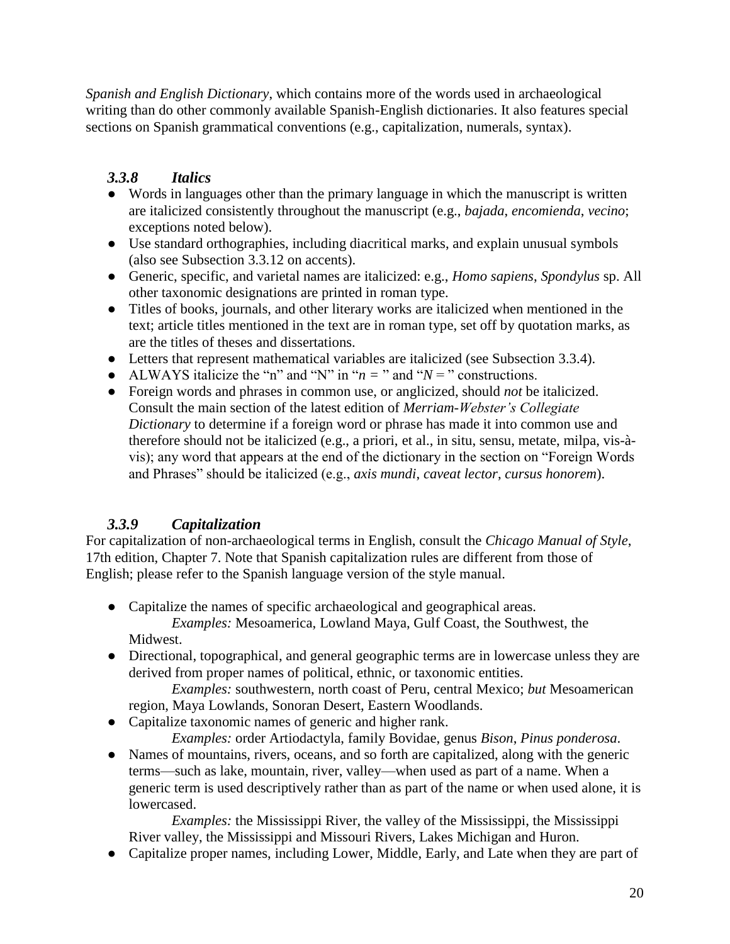*Spanish and English Dictionary*, which contains more of the words used in archaeological writing than do other commonly available Spanish-English dictionaries. It also features special sections on Spanish grammatical conventions (e.g., capitalization, numerals, syntax).

# *3.3.8 Italics*

- Words in languages other than the primary language in which the manuscript is written are italicized consistently throughout the manuscript (e.g., *bajada*, *encomienda*, *vecino*; exceptions noted below).
- Use standard orthographies, including diacritical marks, and explain unusual symbols (also see Subsection 3.3.12 on accents).
- Generic, specific, and varietal names are italicized: e.g., *Homo sapiens*, *Spondylus* sp. All other taxonomic designations are printed in roman type.
- Titles of books, journals, and other literary works are italicized when mentioned in the text; article titles mentioned in the text are in roman type, set off by quotation marks, as are the titles of theses and dissertations.
- Letters that represent mathematical variables are italicized (see Subsection 3.3.4).
- ALWAYS italicize the "n" and "N" in " $n =$ " and " $N =$ " constructions.
- Foreign words and phrases in common use, or anglicized, should *not* be italicized. Consult the main section of the latest edition of *Merriam-Webster's Collegiate Dictionary* to determine if a foreign word or phrase has made it into common use and therefore should not be italicized (e.g., a priori, et al., in situ, sensu, metate, milpa, vis-àvis); any word that appears at the end of the dictionary in the section on "Foreign Words and Phrases" should be italicized (e.g., *axis mundi*, *caveat lector*, *cursus honorem*).

# *3.3.9 Capitalization*

For capitalization of non-archaeological terms in English, consult the *Chicago Manual of Style*, 17th edition, Chapter 7. Note that Spanish capitalization rules are different from those of English; please refer to the Spanish language version of the style manual.

- Capitalize the names of specific archaeological and geographical areas. *Examples:* Mesoamerica, Lowland Maya, Gulf Coast, the Southwest, the Midwest.
- Directional, topographical, and general geographic terms are in lowercase unless they are derived from proper names of political, ethnic, or taxonomic entities.

*Examples:* southwestern, north coast of Peru, central Mexico; *but* Mesoamerican region, Maya Lowlands, Sonoran Desert, Eastern Woodlands.

● Capitalize taxonomic names of generic and higher rank.

*Examples:* order Artiodactyla, family Bovidae, genus *Bison*, *Pinus ponderosa*.

● Names of mountains, rivers, oceans, and so forth are capitalized, along with the generic terms—such as lake, mountain, river, valley—when used as part of a name. When a generic term is used descriptively rather than as part of the name or when used alone, it is lowercased.

*Examples:* the Mississippi River, the valley of the Mississippi, the Mississippi River valley, the Mississippi and Missouri Rivers, Lakes Michigan and Huron.

● Capitalize proper names, including Lower, Middle, Early, and Late when they are part of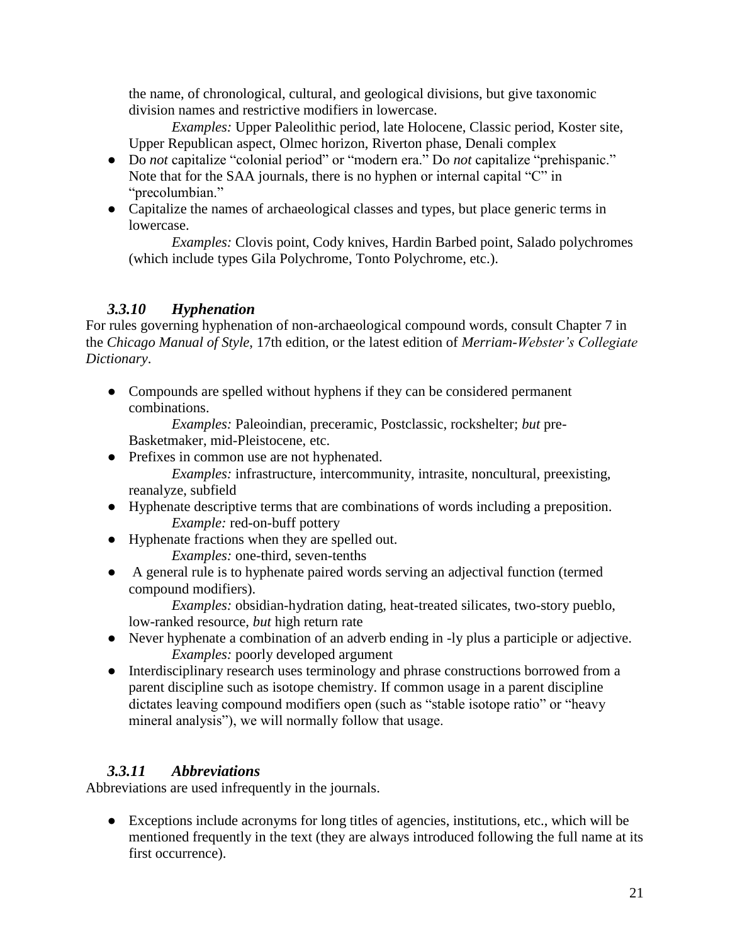the name, of chronological, cultural, and geological divisions, but give taxonomic division names and restrictive modifiers in lowercase.

*Examples:* Upper Paleolithic period, late Holocene, Classic period, Koster site, Upper Republican aspect, Olmec horizon, Riverton phase, Denali complex

- Do *not* capitalize "colonial period" or "modern era." Do *not* capitalize "prehispanic." Note that for the SAA journals, there is no hyphen or internal capital "C" in "precolumbian."
- Capitalize the names of archaeological classes and types, but place generic terms in lowercase.

*Examples:* Clovis point, Cody knives, Hardin Barbed point, Salado polychromes (which include types Gila Polychrome, Tonto Polychrome, etc.).

# *3.3.10 Hyphenation*

For rules governing hyphenation of non-archaeological compound words, consult Chapter 7 in the *Chicago Manual of Style*, 17th edition, or the latest edition of *Merriam-Webster's Collegiate Dictionary*.

• Compounds are spelled without hyphens if they can be considered permanent combinations.

*Examples:* Paleoindian, preceramic, Postclassic, rockshelter; *but* pre-Basketmaker, mid-Pleistocene, etc.

● Prefixes in common use are not hyphenated.

*Examples:* infrastructure, intercommunity, intrasite, noncultural, preexisting, reanalyze, subfield

- Hyphenate descriptive terms that are combinations of words including a preposition. *Example:* red-on-buff pottery
- Hyphenate fractions when they are spelled out. *Examples:* one-third, seven-tenths
- A general rule is to hyphenate paired words serving an adjectival function (termed compound modifiers).

*Examples:* obsidian-hydration dating, heat-treated silicates, two-story pueblo, low-ranked resource, *but* high return rate

- Never hyphenate a combination of an adverb ending in -ly plus a participle or adjective. *Examples:* poorly developed argument
- Interdisciplinary research uses terminology and phrase constructions borrowed from a parent discipline such as isotope chemistry. If common usage in a parent discipline dictates leaving compound modifiers open (such as "stable isotope ratio" or "heavy mineral analysis"), we will normally follow that usage.

# *3.3.11 Abbreviations*

Abbreviations are used infrequently in the journals.

● Exceptions include acronyms for long titles of agencies, institutions, etc., which will be mentioned frequently in the text (they are always introduced following the full name at its first occurrence).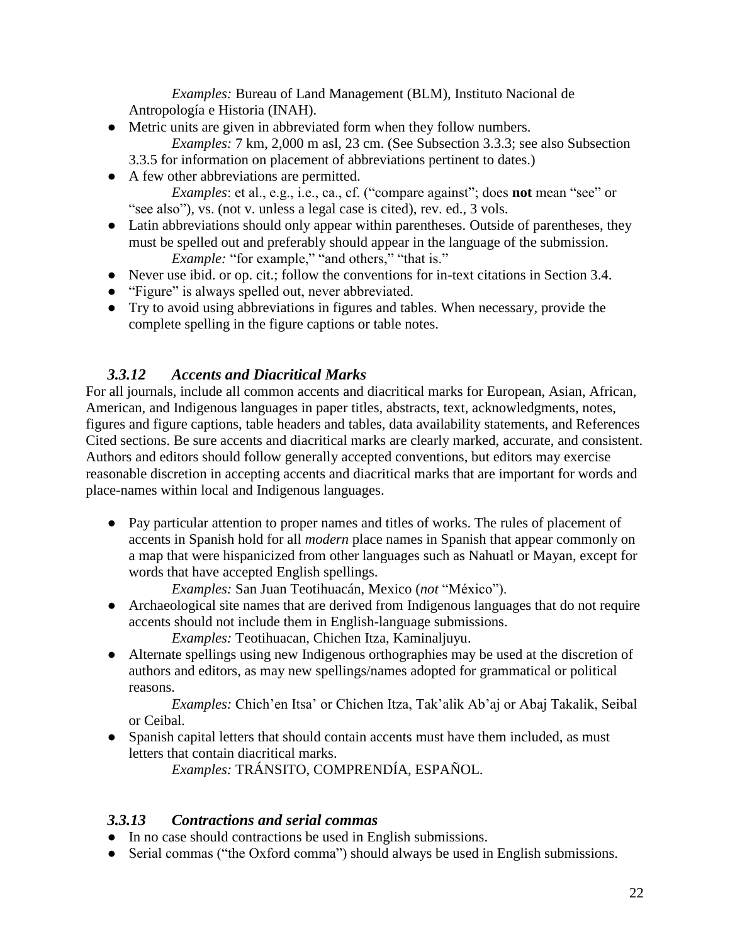*Examples:* Bureau of Land Management (BLM), Instituto Nacional de Antropología e Historia (INAH).

• Metric units are given in abbreviated form when they follow numbers.

*Examples:* 7 km, 2,000 m asl, 23 cm. (See Subsection 3.3.3; see also Subsection 3.3.5 for information on placement of abbreviations pertinent to dates.)

● A few other abbreviations are permitted.

*Examples*: et al., e.g., i.e., ca., cf. ("compare against"; does **not** mean "see" or "see also"), vs. (not v. unless a legal case is cited), rev. ed., 3 vols.

- Latin abbreviations should only appear within parentheses. Outside of parentheses, they must be spelled out and preferably should appear in the language of the submission. *Example:* "for example," "and others," "that is."
- Never use ibid. or op. cit.; follow the conventions for in-text citations in Section 3.4.
- "Figure" is always spelled out, never abbreviated.
- Try to avoid using abbreviations in figures and tables. When necessary, provide the complete spelling in the figure captions or table notes.

## *3.3.12 Accents and Diacritical Marks*

For all journals, include all common accents and diacritical marks for European, Asian, African, American, and Indigenous languages in paper titles, abstracts, text, acknowledgments, notes, figures and figure captions, table headers and tables, data availability statements, and References Cited sections. Be sure accents and diacritical marks are clearly marked, accurate, and consistent. Authors and editors should follow generally accepted conventions, but editors may exercise reasonable discretion in accepting accents and diacritical marks that are important for words and place-names within local and Indigenous languages.

● Pay particular attention to proper names and titles of works. The rules of placement of accents in Spanish hold for all *modern* place names in Spanish that appear commonly on a map that were hispanicized from other languages such as Nahuatl or Mayan, except for words that have accepted English spellings.

*Examples:* San Juan Teotihuacán, Mexico (*not* "México").

● Archaeological site names that are derived from Indigenous languages that do not require accents should not include them in English-language submissions.

*Examples:* Teotihuacan, Chichen Itza, Kaminaljuyu.

● Alternate spellings using new Indigenous orthographies may be used at the discretion of authors and editors, as may new spellings/names adopted for grammatical or political reasons.

*Examples:* Chich'en Itsa' or Chichen Itza, Tak'alik Ab'aj or Abaj Takalik, Seibal or Ceibal.

• Spanish capital letters that should contain accents must have them included, as must letters that contain diacritical marks.

*Examples:* TRÁNSITO, COMPRENDÍA, ESPAÑOL.

## *3.3.13 Contractions and serial commas*

- In no case should contractions be used in English submissions.
- Serial commas ("the Oxford comma") should always be used in English submissions.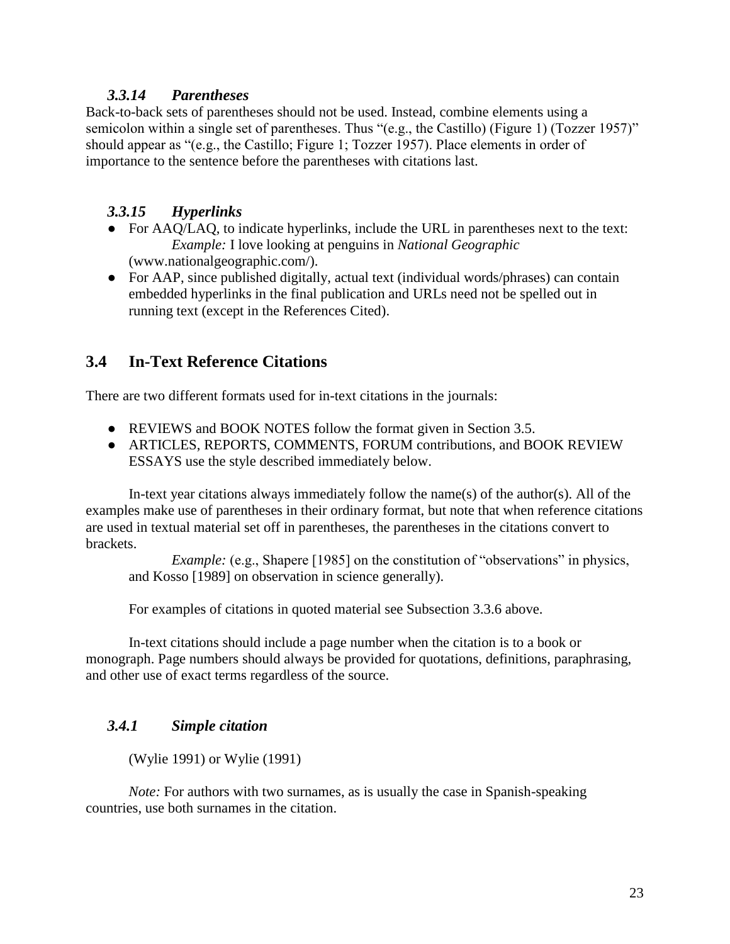### *3.3.14 Parentheses*

Back-to-back sets of parentheses should not be used. Instead, combine elements using a semicolon within a single set of parentheses. Thus "(e.g., the Castillo) (Figure 1) (Tozzer 1957)" should appear as "(e.g., the Castillo; Figure 1; Tozzer 1957). Place elements in order of importance to the sentence before the parentheses with citations last.

## *3.3.15 Hyperlinks*

- For AAQ/LAQ, to indicate hyperlinks, include the URL in parentheses next to the text: *Example:* I love looking at penguins in *National Geographic* [\(www.nationalgeographic.com/\)](http://www.nationalgeographic.com/).
- For AAP, since published digitally, actual text (individual words/phrases) can contain embedded hyperlinks in the final publication and URLs need not be spelled out in running text (except in the References Cited).

# **3.4 In-Text Reference Citations**

There are two different formats used for in-text citations in the journals:

- REVIEWS and BOOK NOTES follow the format given in Section 3.5.
- ARTICLES, REPORTS, COMMENTS, FORUM contributions, and BOOK REVIEW ESSAYS use the style described immediately below.

In-text year citations always immediately follow the name(s) of the author(s). All of the examples make use of parentheses in their ordinary format, but note that when reference citations are used in textual material set off in parentheses, the parentheses in the citations convert to brackets.

*Example:* (e.g., Shapere [1985] on the constitution of "observations" in physics, and Kosso [1989] on observation in science generally).

For examples of citations in quoted material see Subsection 3.3.6 above.

In-text citations should include a page number when the citation is to a book or monograph. Page numbers should always be provided for quotations, definitions, paraphrasing, and other use of exact terms regardless of the source.

# *3.4.1 Simple citation*

(Wylie 1991) or Wylie (1991)

*Note:* For authors with two surnames, as is usually the case in Spanish-speaking countries, use both surnames in the citation.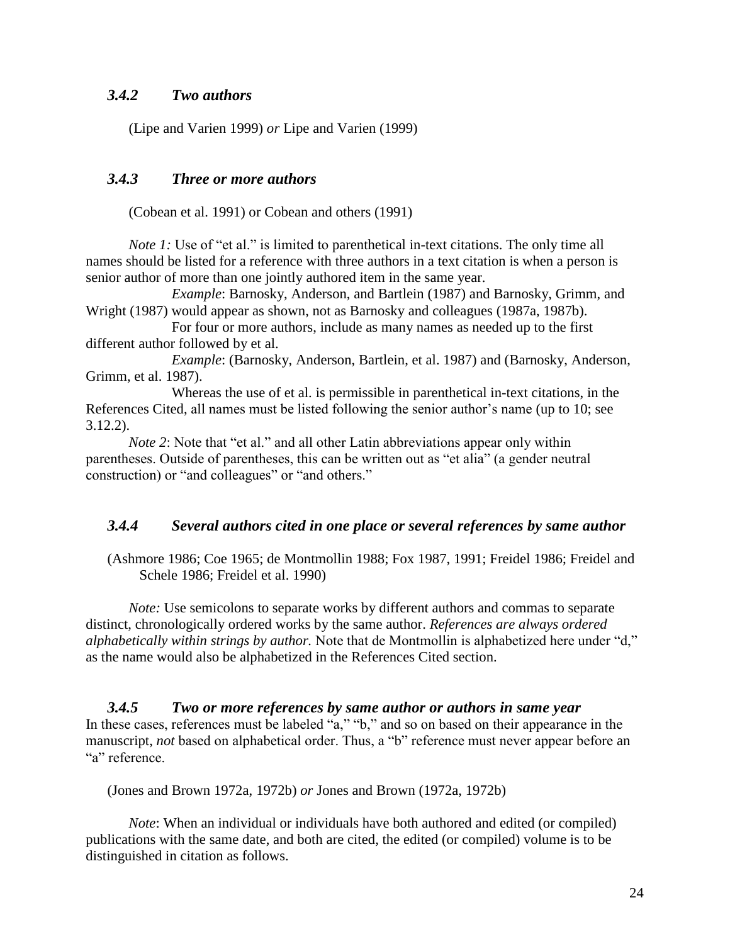#### *3.4.2 Two authors*

(Lipe and Varien 1999) *or* Lipe and Varien (1999)

#### *3.4.3 Three or more authors*

(Cobean et al. 1991) or Cobean and others (1991)

*Note 1:* Use of "et al." is limited to parenthetical in-text citations. The only time all names should be listed for a reference with three authors in a text citation is when a person is senior author of more than one jointly authored item in the same year.

*Example*: Barnosky, Anderson, and Bartlein (1987) and Barnosky, Grimm, and Wright (1987) would appear as shown, not as Barnosky and colleagues (1987a, 1987b).

For four or more authors, include as many names as needed up to the first different author followed by et al.

*Example*: (Barnosky, Anderson, Bartlein, et al. 1987) and (Barnosky, Anderson, Grimm, et al. 1987).

Whereas the use of et al. is permissible in parenthetical in-text citations, in the References Cited, all names must be listed following the senior author's name (up to 10; see 3.12.2).

*Note* 2: Note that "et al." and all other Latin abbreviations appear only within parentheses. Outside of parentheses, this can be written out as "et alia" (a gender neutral construction) or "and colleagues" or "and others."

#### *3.4.4 Several authors cited in one place or several references by same author*

(Ashmore 1986; Coe 1965; de Montmollin 1988; Fox 1987, 1991; Freidel 1986; Freidel and Schele 1986; Freidel et al. 1990)

*Note:* Use semicolons to separate works by different authors and commas to separate distinct, chronologically ordered works by the same author. *References are always ordered alphabetically within strings by author.* Note that de Montmollin is alphabetized here under "d," as the name would also be alphabetized in the References Cited section.

*3.4.5 Two or more references by same author or authors in same year* In these cases, references must be labeled "a," "b," and so on based on their appearance in the manuscript, *not* based on alphabetical order. Thus, a "b" reference must never appear before an "a" reference.

(Jones and Brown 1972a, 1972b) *or* Jones and Brown (1972a, 1972b)

*Note*: When an individual or individuals have both authored and edited (or compiled) publications with the same date, and both are cited, the edited (or compiled) volume is to be distinguished in citation as follows.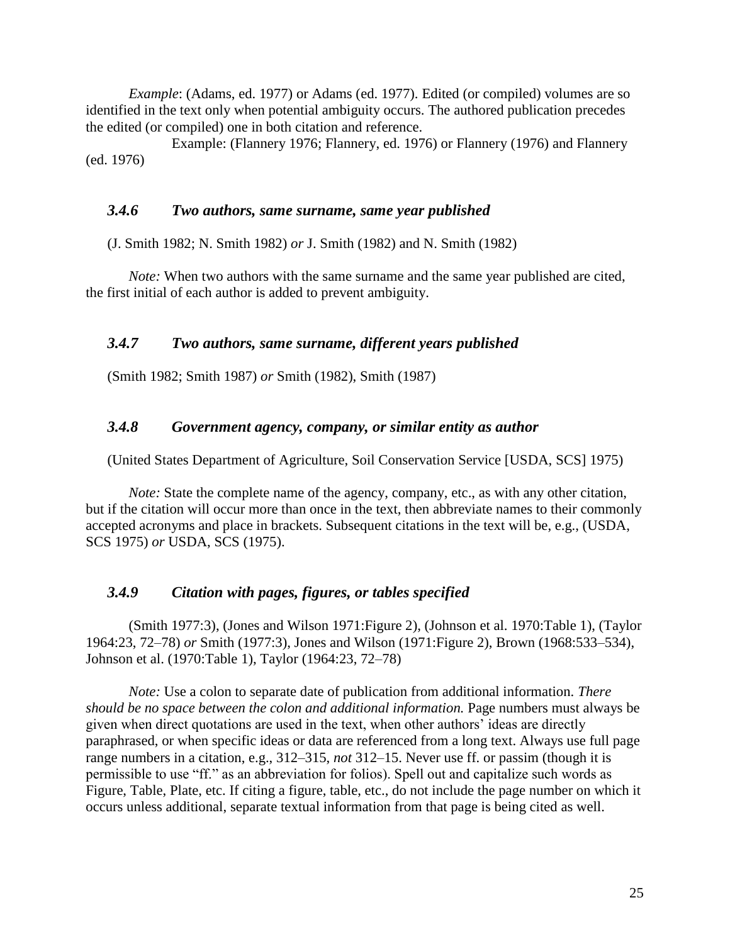*Example*: (Adams, ed. 1977) or Adams (ed. 1977). Edited (or compiled) volumes are so identified in the text only when potential ambiguity occurs. The authored publication precedes the edited (or compiled) one in both citation and reference.

Example: (Flannery 1976; Flannery, ed. 1976) or Flannery (1976) and Flannery (ed. 1976)

#### *3.4.6 Two authors, same surname, same year published*

(J. Smith 1982; N. Smith 1982) *or* J. Smith (1982) and N. Smith (1982)

*Note:* When two authors with the same surname and the same year published are cited, the first initial of each author is added to prevent ambiguity.

#### *3.4.7 Two authors, same surname, different years published*

(Smith 1982; Smith 1987) *or* Smith (1982), Smith (1987)

#### *3.4.8 Government agency, company, or similar entity as author*

(United States Department of Agriculture, Soil Conservation Service [USDA, SCS] 1975)

*Note:* State the complete name of the agency, company, etc., as with any other citation, but if the citation will occur more than once in the text, then abbreviate names to their commonly accepted acronyms and place in brackets. Subsequent citations in the text will be, e.g., (USDA, SCS 1975) *or* USDA, SCS (1975).

#### *3.4.9 Citation with pages, figures, or tables specified*

(Smith 1977:3), (Jones and Wilson 1971:Figure 2), (Johnson et al. 1970:Table 1), (Taylor 1964:23, 72–78) *or* Smith (1977:3), Jones and Wilson (1971:Figure 2), Brown (1968:533–534), Johnson et al. (1970:Table 1), Taylor (1964:23, 72–78)

*Note:* Use a colon to separate date of publication from additional information. *There should be no space between the colon and additional information.* Page numbers must always be given when direct quotations are used in the text, when other authors' ideas are directly paraphrased, or when specific ideas or data are referenced from a long text. Always use full page range numbers in a citation, e.g., 312–315, *not* 312–15. Never use ff. or passim (though it is permissible to use "ff." as an abbreviation for folios). Spell out and capitalize such words as Figure, Table, Plate, etc. If citing a figure, table, etc., do not include the page number on which it occurs unless additional, separate textual information from that page is being cited as well.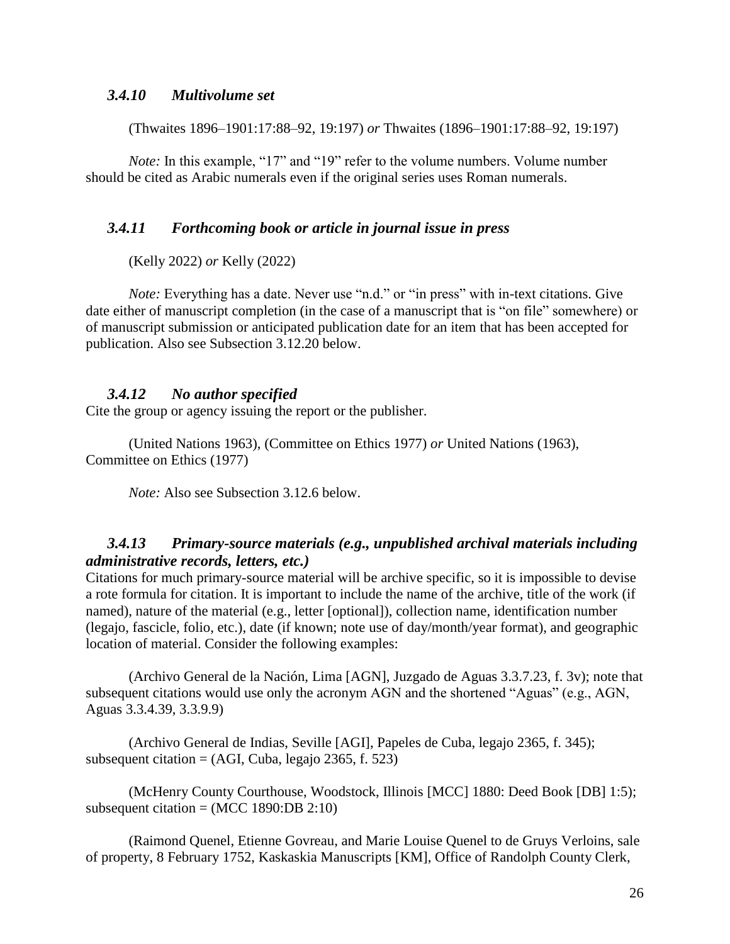#### *3.4.10 Multivolume set*

(Thwaites 1896–1901:17:88–92, 19:197) *or* Thwaites (1896–1901:17:88–92, 19:197)

*Note:* In this example, "17" and "19" refer to the volume numbers. Volume number should be cited as Arabic numerals even if the original series uses Roman numerals.

#### *3.4.11 Forthcoming book or article in journal issue in press*

(Kelly 2022) *or* Kelly (2022)

*Note:* Everything has a date. Never use "n.d." or "in press" with in-text citations. Give date either of manuscript completion (in the case of a manuscript that is "on file" somewhere) or of manuscript submission or anticipated publication date for an item that has been accepted for publication. Also see Subsection 3.12.20 below.

#### *3.4.12 No author specified*

Cite the group or agency issuing the report or the publisher.

(United Nations 1963), (Committee on Ethics 1977) *or* United Nations (1963), Committee on Ethics (1977)

*Note:* Also see Subsection 3.12.6 below.

### *3.4.13 Primary-source materials (e.g., unpublished archival materials including administrative records, letters, etc.)*

Citations for much primary-source material will be archive specific, so it is impossible to devise a rote formula for citation. It is important to include the name of the archive, title of the work (if named), nature of the material (e.g., letter [optional]), collection name, identification number (legajo, fascicle, folio, etc.), date (if known; note use of day/month/year format), and geographic location of material. Consider the following examples:

(Archivo General de la Nación, Lima [AGN], Juzgado de Aguas 3.3.7.23, f. 3v); note that subsequent citations would use only the acronym AGN and the shortened "Aguas" (e.g., AGN, Aguas 3.3.4.39, 3.3.9.9)

(Archivo General de Indias, Seville [AGI], Papeles de Cuba, legajo 2365, f. 345); subsequent citation  $= (AGI, Cuba, legajo 2365, f. 523)$ 

(McHenry County Courthouse, Woodstock, Illinois [MCC] 1880: Deed Book [DB] 1:5); subsequent citation =  $(MCC 1890:DB 2:10)$ 

(Raimond Quenel, Etienne Govreau, and Marie Louise Quenel to de Gruys Verloins, sale of property, 8 February 1752, Kaskaskia Manuscripts [KM], Office of Randolph County Clerk,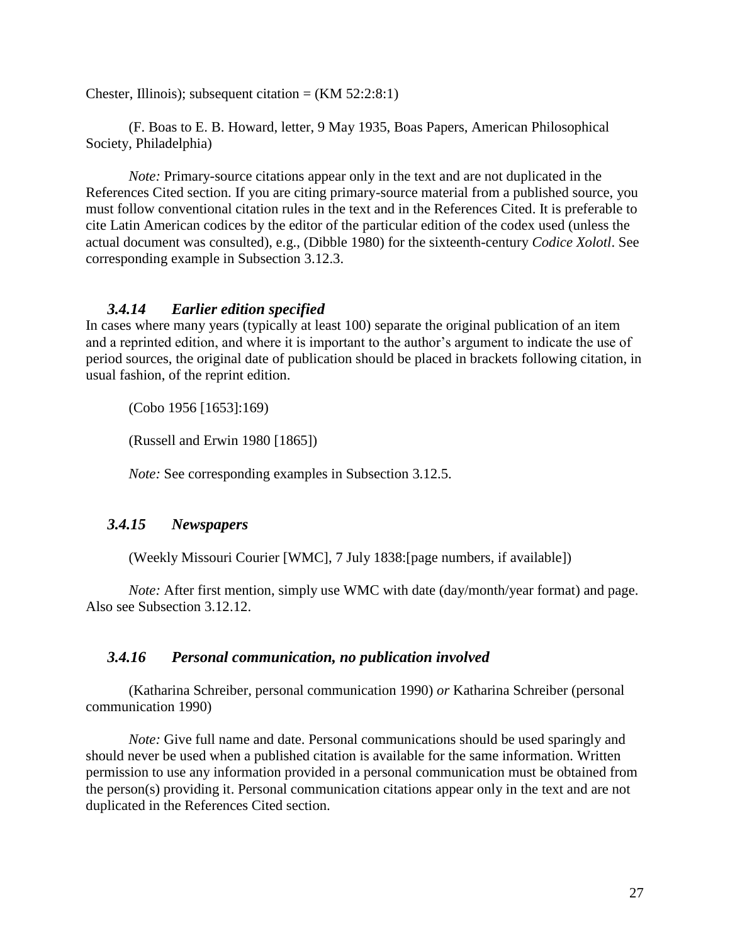Chester, Illinois); subsequent citation =  $(KM 52:2:8:1)$ 

(F. Boas to E. B. Howard, letter, 9 May 1935, Boas Papers, American Philosophical Society, Philadelphia)

*Note:* Primary-source citations appear only in the text and are not duplicated in the References Cited section. If you are citing primary-source material from a published source, you must follow conventional citation rules in the text and in the References Cited. It is preferable to cite Latin American codices by the editor of the particular edition of the codex used (unless the actual document was consulted), e.g., (Dibble 1980) for the sixteenth-century *Codice Xolotl*. See corresponding example in Subsection 3.12.3.

#### *3.4.14 Earlier edition specified*

In cases where many years (typically at least 100) separate the original publication of an item and a reprinted edition, and where it is important to the author's argument to indicate the use of period sources, the original date of publication should be placed in brackets following citation, in usual fashion, of the reprint edition.

(Cobo 1956 [1653]:169)

(Russell and Erwin 1980 [1865])

*Note:* See corresponding examples in Subsection 3.12.5.

## *3.4.15 Newspapers*

(Weekly Missouri Courier [WMC], 7 July 1838:[page numbers, if available])

*Note:* After first mention, simply use WMC with date (day/month/year format) and page. Also see Subsection 3.12.12.

## *3.4.16 Personal communication, no publication involved*

(Katharina Schreiber, personal communication 1990) *or* Katharina Schreiber (personal communication 1990)

*Note:* Give full name and date. Personal communications should be used sparingly and should never be used when a published citation is available for the same information. Written permission to use any information provided in a personal communication must be obtained from the person(s) providing it. Personal communication citations appear only in the text and are not duplicated in the References Cited section.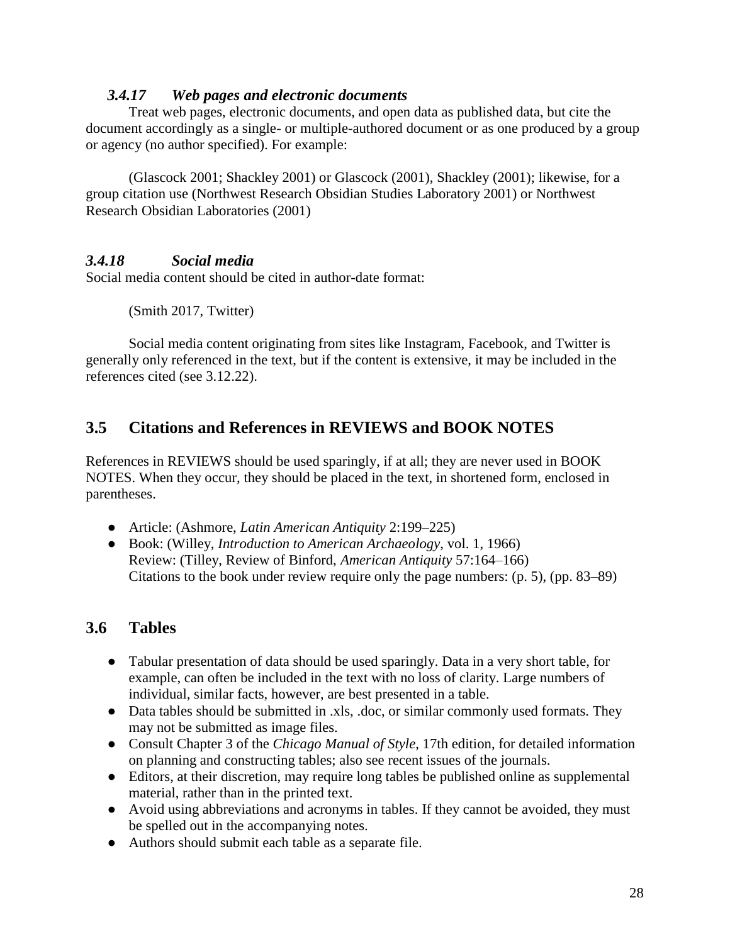### *3.4.17 Web pages and electronic documents*

Treat web pages, electronic documents, and open data as published data, but cite the document accordingly as a single- or multiple-authored document or as one produced by a group or agency (no author specified). For example:

(Glascock 2001; Shackley 2001) or Glascock (2001), Shackley (2001); likewise, for a group citation use (Northwest Research Obsidian Studies Laboratory 2001) or Northwest Research Obsidian Laboratories (2001)

# *3.4.18 Social media*

Social media content should be cited in author-date format:

(Smith 2017, Twitter)

Social media content originating from sites like Instagram, Facebook, and Twitter is generally only referenced in the text, but if the content is extensive, it may be included in the references cited (see 3.12.22).

# **3.5 Citations and References in REVIEWS and BOOK NOTES**

References in REVIEWS should be used sparingly, if at all; they are never used in BOOK NOTES. When they occur, they should be placed in the text, in shortened form, enclosed in parentheses.

- Article: (Ashmore, *Latin American Antiquity* 2:199–225)
- Book: (Willey, *Introduction to American Archaeology*, vol. 1, 1966) Review: (Tilley, Review of Binford, *American Antiquity* 57:164–166) Citations to the book under review require only the page numbers: (p. 5), (pp. 83–89)

# **3.6 Tables**

- Tabular presentation of data should be used sparingly. Data in a very short table, for example, can often be included in the text with no loss of clarity. Large numbers of individual, similar facts, however, are best presented in a table.
- Data tables should be submitted in .xls, .doc, or similar commonly used formats. They may not be submitted as image files.
- Consult Chapter 3 of the *Chicago Manual of Style*, 17th edition, for detailed information on planning and constructing tables; also see recent issues of the journals.
- Editors, at their discretion, may require long tables be published online as supplemental material, rather than in the printed text.
- Avoid using abbreviations and acronyms in tables. If they cannot be avoided, they must be spelled out in the accompanying notes.
- Authors should submit each table as a separate file.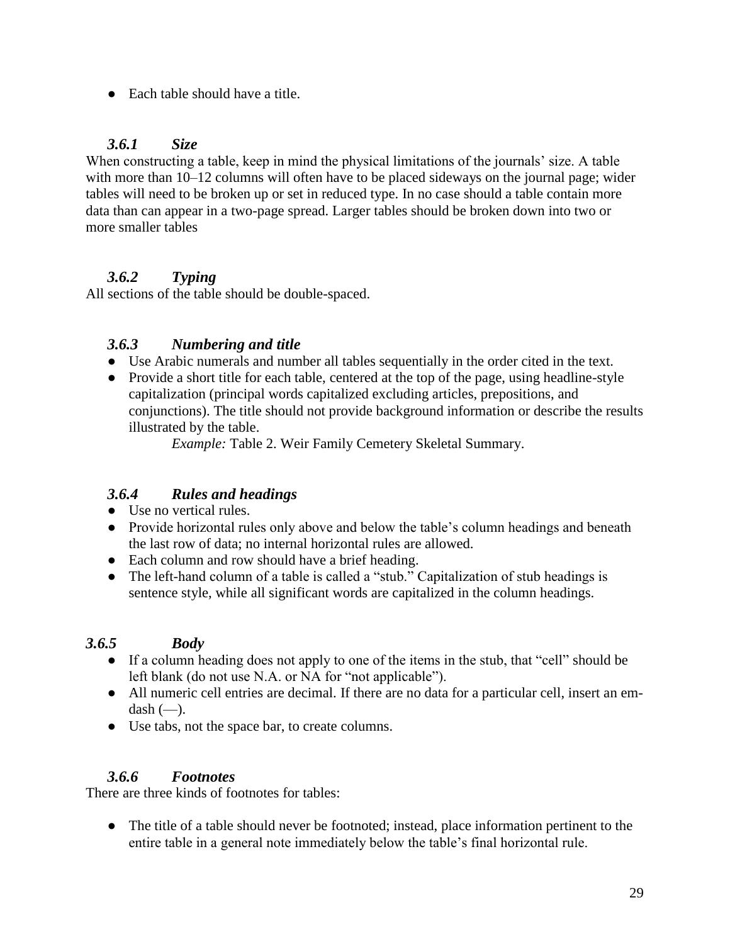● Each table should have a title.

# *3.6.1 Size*

When constructing a table, keep in mind the physical limitations of the journals' size. A table with more than 10–12 columns will often have to be placed sideways on the journal page; wider tables will need to be broken up or set in reduced type. In no case should a table contain more data than can appear in a two-page spread. Larger tables should be broken down into two or more smaller tables

# *3.6.2 Typing*

All sections of the table should be double-spaced.

# *3.6.3 Numbering and title*

- Use Arabic numerals and number all tables sequentially in the order cited in the text.
- Provide a short title for each table, centered at the top of the page, using headline-style capitalization (principal words capitalized excluding articles, prepositions, and conjunctions). The title should not provide background information or describe the results illustrated by the table.

*Example:* Table 2. Weir Family Cemetery Skeletal Summary.

# *3.6.4 Rules and headings*

- Use no vertical rules.
- Provide horizontal rules only above and below the table's column headings and beneath the last row of data; no internal horizontal rules are allowed.
- Each column and row should have a brief heading.
- The left-hand column of a table is called a "stub." Capitalization of stub headings is sentence style, while all significant words are capitalized in the column headings.

# *3.6.5 Body*

- If a column heading does not apply to one of the items in the stub, that "cell" should be left blank (do not use N.A. or NA for "not applicable").
- All numeric cell entries are decimal. If there are no data for a particular cell, insert an emdash  $(-)$ .
- Use tabs, not the space bar, to create columns.

## *3.6.6 Footnotes*

There are three kinds of footnotes for tables:

● The title of a table should never be footnoted; instead, place information pertinent to the entire table in a general note immediately below the table's final horizontal rule.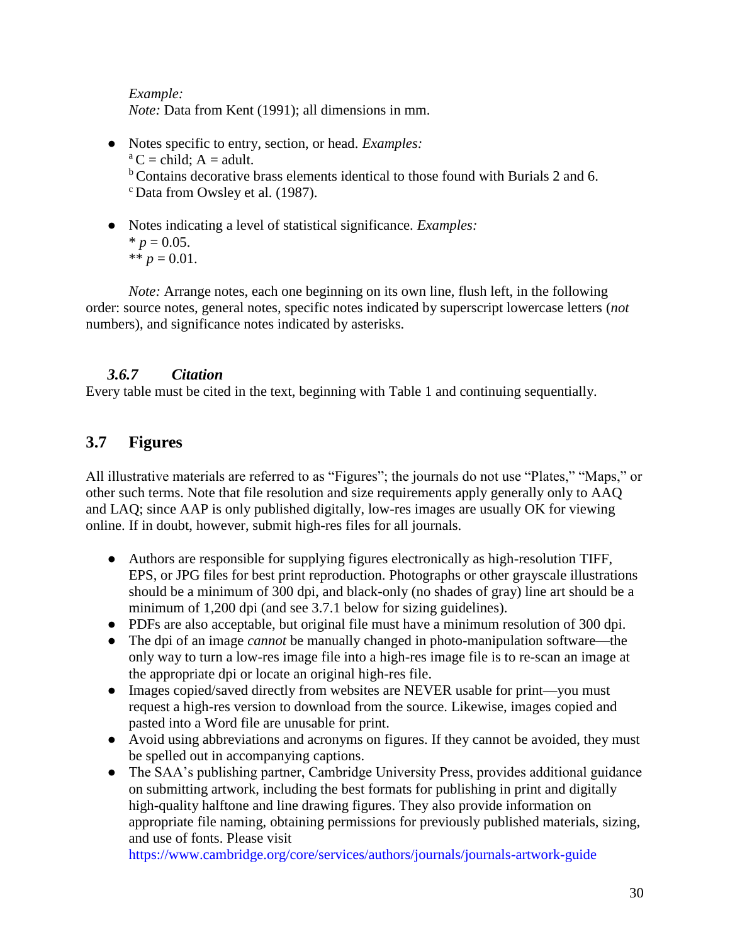*Example:*

*Note:* Data from Kent (1991); all dimensions in mm.

- Notes specific to entry, section, or head. *Examples:*  $^a$ C = child; A = adult. <sup>b</sup> Contains decorative brass elements identical to those found with Burials 2 and 6. <sup>c</sup> Data from Owsley et al. (1987).
- Notes indicating a level of statistical significance. *Examples:*  $* p = 0.05.$ \*\*  $p = 0.01$ .

*Note:* Arrange notes, each one beginning on its own line, flush left, in the following order: source notes, general notes, specific notes indicated by superscript lowercase letters (*not* numbers), and significance notes indicated by asterisks.

## *3.6.7 Citation*

Every table must be cited in the text, beginning with Table 1 and continuing sequentially.

# **3.7 Figures**

All illustrative materials are referred to as "Figures"; the journals do not use "Plates," "Maps," or other such terms. Note that file resolution and size requirements apply generally only to AAQ and LAQ; since AAP is only published digitally, low-res images are usually OK for viewing online. If in doubt, however, submit high-res files for all journals.

- Authors are responsible for supplying figures electronically as high-resolution TIFF, EPS, or JPG files for best print reproduction. Photographs or other grayscale illustrations should be a minimum of 300 dpi, and black-only (no shades of gray) line art should be a minimum of 1,200 dpi (and see 3.7.1 below for sizing guidelines).
- PDFs are also acceptable, but original file must have a minimum resolution of 300 dpi.
- The dpi of an image *cannot* be manually changed in photo-manipulation software—the only way to turn a low-res image file into a high-res image file is to re-scan an image at the appropriate dpi or locate an original high-res file.
- Images copied/saved directly from websites are NEVER usable for print—you must request a high-res version to download from the source. Likewise, images copied and pasted into a Word file are unusable for print.
- Avoid using abbreviations and acronyms on figures. If they cannot be avoided, they must be spelled out in accompanying captions.
- The SAA's publishing partner, Cambridge University Press, provides additional guidance on submitting artwork, including the best formats for publishing in print and digitally high-quality halftone and line drawing figures. They also provide information on appropriate file naming, obtaining permissions for previously published materials, sizing, and use of fonts. Please visit

<https://www.cambridge.org/core/services/authors/journals/journals-artwork-guide>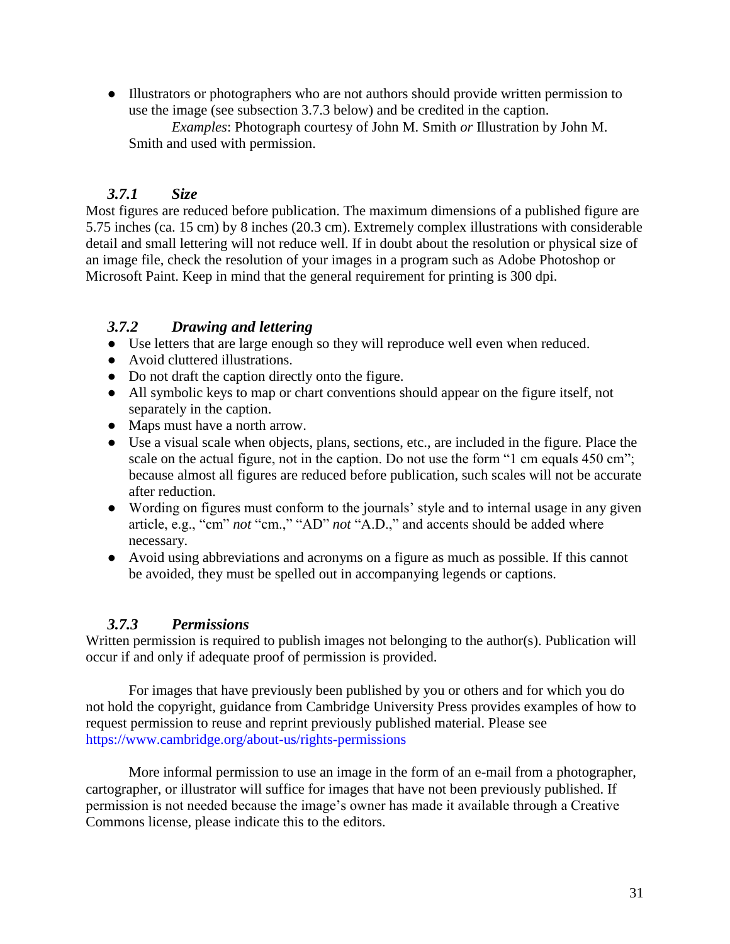● Illustrators or photographers who are not authors should provide written permission to use the image (see subsection 3.7.3 below) and be credited in the caption.

*Examples*: Photograph courtesy of John M. Smith *or* Illustration by John M. Smith and used with permission.

# *3.7.1 Size*

Most figures are reduced before publication. The maximum dimensions of a published figure are 5.75 inches (ca. 15 cm) by 8 inches (20.3 cm). Extremely complex illustrations with considerable detail and small lettering will not reduce well. If in doubt about the resolution or physical size of an image file, check the resolution of your images in a program such as Adobe Photoshop or Microsoft Paint. Keep in mind that the general requirement for printing is 300 dpi.

# *3.7.2 Drawing and lettering*

- Use letters that are large enough so they will reproduce well even when reduced.
- Avoid cluttered illustrations.
- Do not draft the caption directly onto the figure.
- All symbolic keys to map or chart conventions should appear on the figure itself, not separately in the caption.
- Maps must have a north arrow.
- Use a visual scale when objects, plans, sections, etc., are included in the figure. Place the scale on the actual figure, not in the caption. Do not use the form "1 cm equals 450 cm"; because almost all figures are reduced before publication, such scales will not be accurate after reduction.
- Wording on figures must conform to the journals' style and to internal usage in any given article, e.g., "cm" *not* "cm.," "AD" *not* "A.D.," and accents should be added where necessary.
- Avoid using abbreviations and acronyms on a figure as much as possible. If this cannot be avoided, they must be spelled out in accompanying legends or captions.

# *3.7.3 Permissions*

Written permission is required to publish images not belonging to the author(s). Publication will occur if and only if adequate proof of permission is provided.

For images that have previously been published by you or others and for which you do not hold the copyright, guidance from Cambridge University Press provides examples of how to request permission to reuse and reprint previously published material. Please see <https://www.cambridge.org/about-us/rights-permissions>

More informal permission to use an image in the form of an e-mail from a photographer, cartographer, or illustrator will suffice for images that have not been previously published. If permission is not needed because the image's owner has made it available through a Creative Commons license, please indicate this to the editors.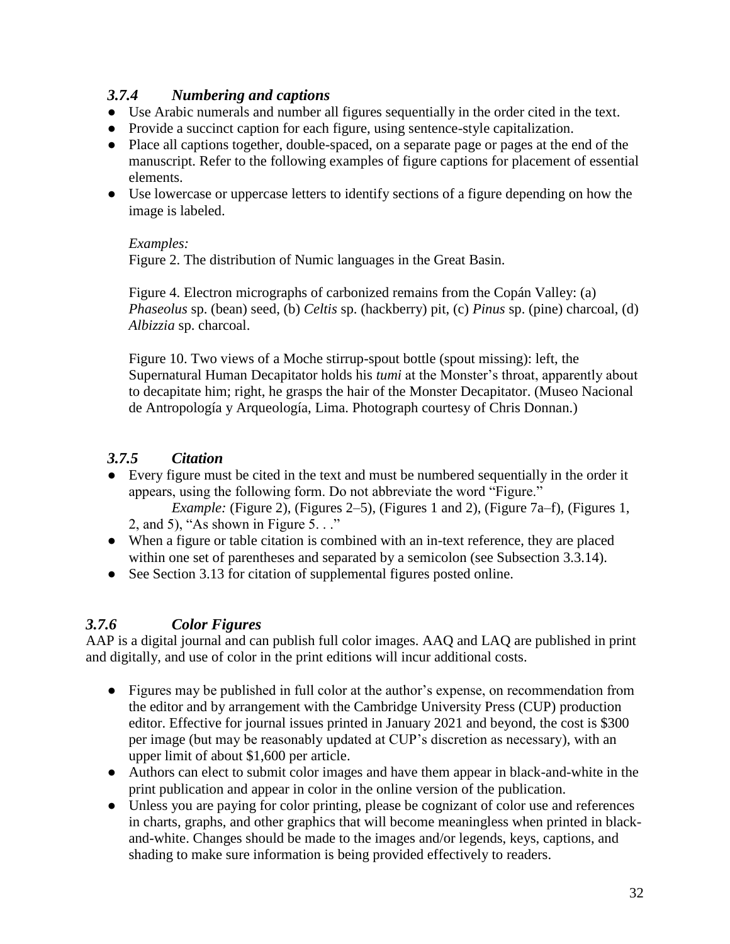# *3.7.4 Numbering and captions*

- Use Arabic numerals and number all figures sequentially in the order cited in the text.
- Provide a succinct caption for each figure, using sentence-style capitalization.
- Place all captions together, double-spaced, on a separate page or pages at the end of the manuscript. Refer to the following examples of figure captions for placement of essential elements.
- Use lowercase or uppercase letters to identify sections of a figure depending on how the image is labeled.

#### *Examples:*

Figure 2. The distribution of Numic languages in the Great Basin.

Figure 4. Electron micrographs of carbonized remains from the Copán Valley: (a) *Phaseolus* sp. (bean) seed, (b) *Celtis* sp. (hackberry) pit, (c) *Pinus* sp. (pine) charcoal, (d) *Albizzia* sp. charcoal.

Figure 10. Two views of a Moche stirrup-spout bottle (spout missing): left, the Supernatural Human Decapitator holds his *tumi* at the Monster's throat, apparently about to decapitate him; right, he grasps the hair of the Monster Decapitator. (Museo Nacional de Antropología y Arqueología, Lima. Photograph courtesy of Chris Donnan.)

# *3.7.5 Citation*

● Every figure must be cited in the text and must be numbered sequentially in the order it appears, using the following form. Do not abbreviate the word "Figure."

*Example:* (Figure 2), (Figures 2–5), (Figures 1 and 2), (Figure 7a–f), (Figures 1, 2, and 5), "As shown in Figure 5.  $\cdot$ ."

- When a figure or table citation is combined with an in-text reference, they are placed within one set of parentheses and separated by a semicolon (see Subsection 3.3.14).
- See Section 3.13 for citation of supplemental figures posted online.

# *3.7.6 Color Figures*

AAP is a digital journal and can publish full color images. AAQ and LAQ are published in print and digitally, and use of color in the print editions will incur additional costs.

- Figures may be published in full color at the author's expense, on recommendation from the editor and by arrangement with the Cambridge University Press (CUP) production editor. Effective for journal issues printed in January 2021 and beyond, the cost is \$300 per image (but may be reasonably updated at CUP's discretion as necessary), with an upper limit of about \$1,600 per article.
- Authors can elect to submit color images and have them appear in black-and-white in the print publication and appear in color in the online version of the publication.
- Unless you are paying for color printing, please be cognizant of color use and references in charts, graphs, and other graphics that will become meaningless when printed in blackand-white. Changes should be made to the images and/or legends, keys, captions, and shading to make sure information is being provided effectively to readers.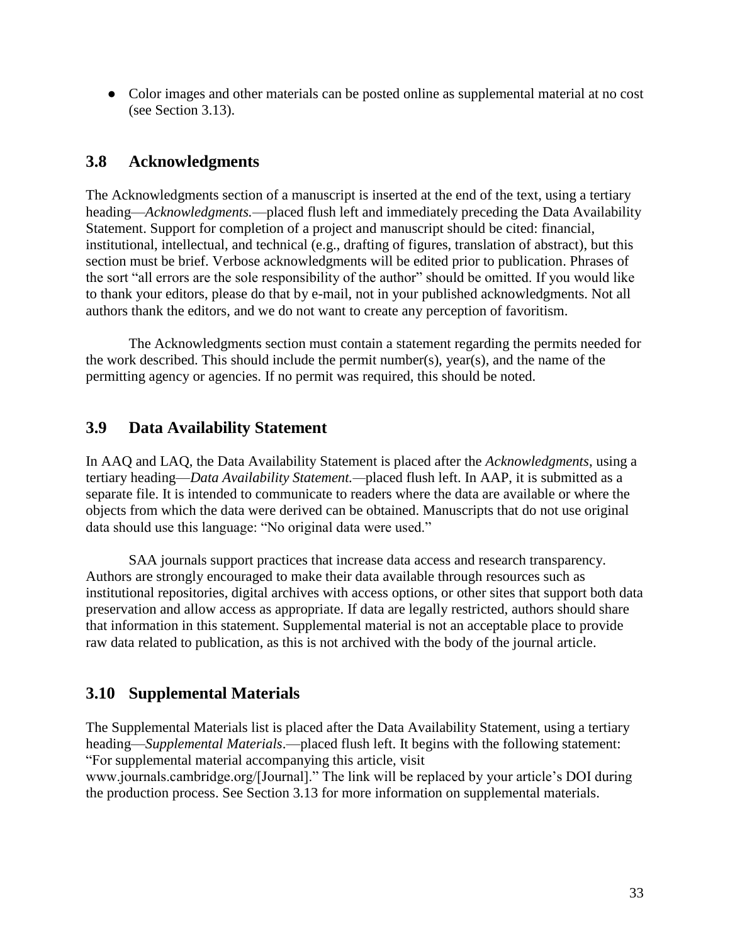● Color images and other materials can be posted online as supplemental material at no cost (see Section 3.13).

# **3.8 Acknowledgments**

The Acknowledgments section of a manuscript is inserted at the end of the text, using a tertiary heading—*Acknowledgments.*—placed flush left and immediately preceding the Data Availability Statement. Support for completion of a project and manuscript should be cited: financial, institutional, intellectual, and technical (e.g., drafting of figures, translation of abstract), but this section must be brief. Verbose acknowledgments will be edited prior to publication. Phrases of the sort "all errors are the sole responsibility of the author" should be omitted. If you would like to thank your editors, please do that by e-mail, not in your published acknowledgments. Not all authors thank the editors, and we do not want to create any perception of favoritism.

The Acknowledgments section must contain a statement regarding the permits needed for the work described. This should include the permit number(s), year(s), and the name of the permitting agency or agencies. If no permit was required, this should be noted.

# **3.9 Data Availability Statement**

In AAQ and LAQ, the Data Availability Statement is placed after the *Acknowledgments*, using a tertiary heading—*Data Availability Statement.—*placed flush left. In AAP, it is submitted as a separate file. It is intended to communicate to readers where the data are available or where the objects from which the data were derived can be obtained. Manuscripts that do not use original data should use this language: "No original data were used."

SAA journals support practices that increase data access and research transparency. Authors are strongly encouraged to make their data available through resources such as institutional repositories, digital archives with access options, or other sites that support both data preservation and allow access as appropriate. If data are legally restricted, authors should share that information in this statement. Supplemental material is not an acceptable place to provide raw data related to publication, as this is not archived with the body of the journal article.

# **3.10 Supplemental Materials**

The Supplemental Materials list is placed after the Data Availability Statement, using a tertiary heading—*Supplemental Materials*.—placed flush left. It begins with the following statement: "For supplemental material accompanying this article, visit

www.journals.cambridge.org/[Journal]." The link will be replaced by your article's DOI during the production process. See Section 3.13 for more information on supplemental materials.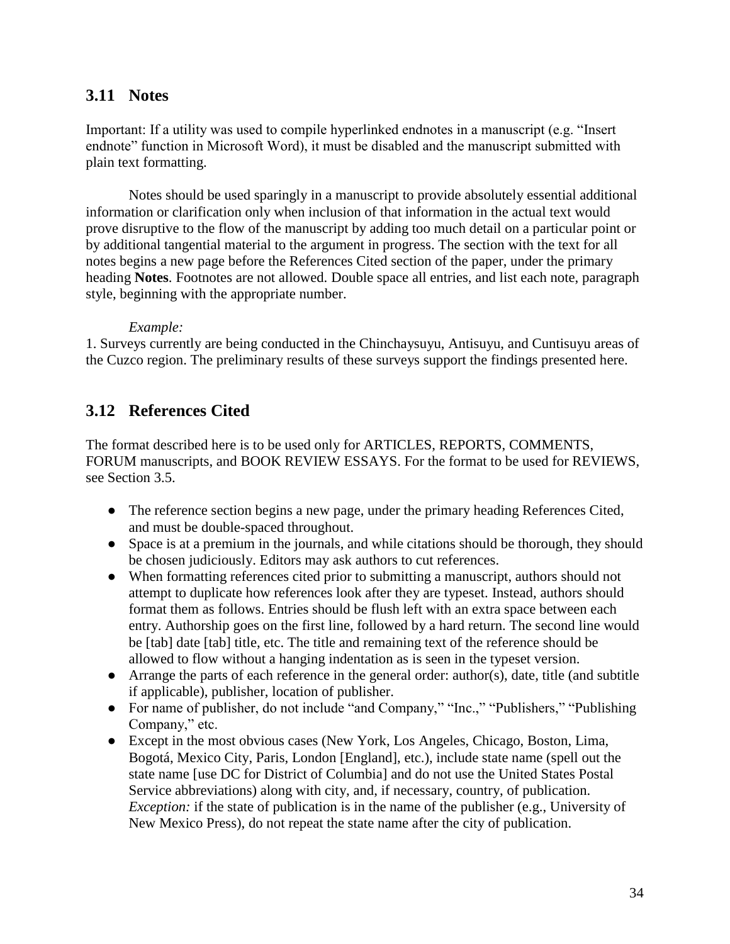# **3.11 Notes**

Important: If a utility was used to compile hyperlinked endnotes in a manuscript (e.g. "Insert endnote" function in Microsoft Word), it must be disabled and the manuscript submitted with plain text formatting.

Notes should be used sparingly in a manuscript to provide absolutely essential additional information or clarification only when inclusion of that information in the actual text would prove disruptive to the flow of the manuscript by adding too much detail on a particular point or by additional tangential material to the argument in progress. The section with the text for all notes begins a new page before the References Cited section of the paper, under the primary heading **Notes**. Footnotes are not allowed. Double space all entries, and list each note, paragraph style, beginning with the appropriate number.

#### *Example:*

1. Surveys currently are being conducted in the Chinchaysuyu, Antisuyu, and Cuntisuyu areas of the Cuzco region. The preliminary results of these surveys support the findings presented here.

# **3.12 References Cited**

The format described here is to be used only for ARTICLES, REPORTS, COMMENTS, FORUM manuscripts, and BOOK REVIEW ESSAYS. For the format to be used for REVIEWS, see Section 3.5.

- The reference section begins a new page, under the primary heading References Cited, and must be double-spaced throughout.
- Space is at a premium in the journals, and while citations should be thorough, they should be chosen judiciously. Editors may ask authors to cut references.
- When formatting references cited prior to submitting a manuscript, authors should not attempt to duplicate how references look after they are typeset. Instead, authors should format them as follows. Entries should be flush left with an extra space between each entry. Authorship goes on the first line, followed by a hard return. The second line would be [tab] date [tab] title, etc. The title and remaining text of the reference should be allowed to flow without a hanging indentation as is seen in the typeset version.
- Arrange the parts of each reference in the general order: author(s), date, title (and subtitle if applicable), publisher, location of publisher.
- For name of publisher, do not include "and Company," "Inc.," "Publishers," "Publishing Company," etc.
- Except in the most obvious cases (New York, Los Angeles, Chicago, Boston, Lima, Bogotá, Mexico City, Paris, London [England], etc.), include state name (spell out the state name [use DC for District of Columbia] and do not use the United States Postal Service abbreviations) along with city, and, if necessary, country, of publication. *Exception:* if the state of publication is in the name of the publisher (e.g., University of New Mexico Press), do not repeat the state name after the city of publication.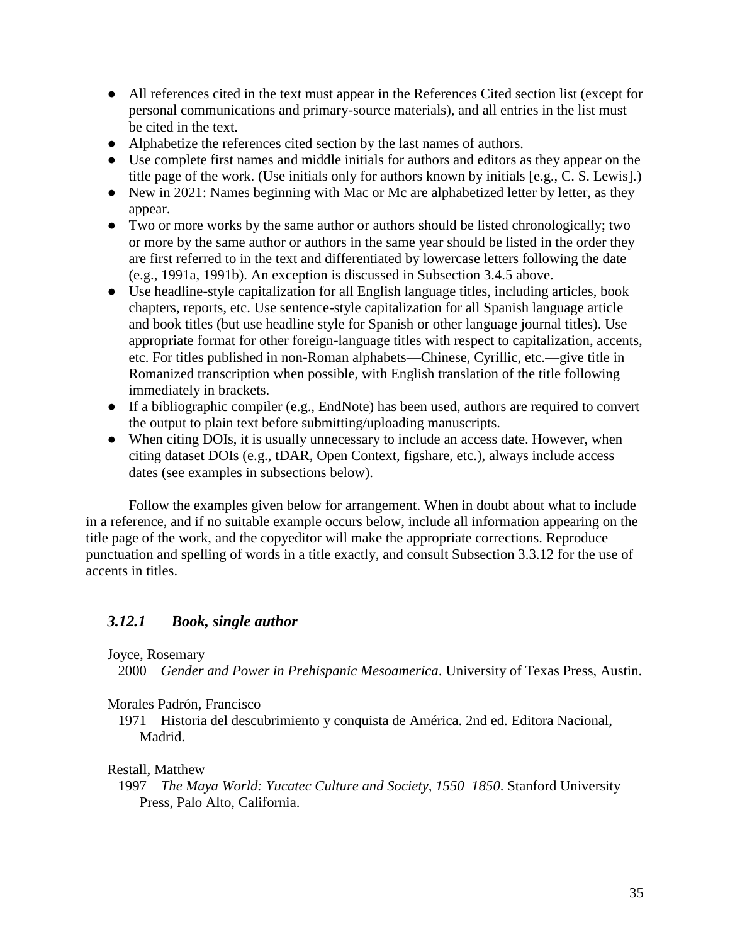- All references cited in the text must appear in the References Cited section list (except for personal communications and primary-source materials), and all entries in the list must be cited in the text.
- Alphabetize the references cited section by the last names of authors.
- Use complete first names and middle initials for authors and editors as they appear on the title page of the work. (Use initials only for authors known by initials [e.g., C. S. Lewis].)
- New in 2021: Names beginning with Mac or Mc are alphabetized letter by letter, as they appear.
- Two or more works by the same author or authors should be listed chronologically; two or more by the same author or authors in the same year should be listed in the order they are first referred to in the text and differentiated by lowercase letters following the date (e.g., 1991a, 1991b). An exception is discussed in Subsection 3.4.5 above.
- Use headline-style capitalization for all English language titles, including articles, book chapters, reports, etc. Use sentence-style capitalization for all Spanish language article and book titles (but use headline style for Spanish or other language journal titles). Use appropriate format for other foreign-language titles with respect to capitalization, accents, etc. For titles published in non-Roman alphabets—Chinese, Cyrillic, etc.—give title in Romanized transcription when possible, with English translation of the title following immediately in brackets.
- If a bibliographic compiler (e.g., EndNote) has been used, authors are required to convert the output to plain text before submitting/uploading manuscripts.
- When citing DOIs, it is usually unnecessary to include an access date. However, when citing dataset DOIs (e.g., tDAR, Open Context, figshare, etc.), always include access dates (see examples in subsections below).

Follow the examples given below for arrangement. When in doubt about what to include in a reference, and if no suitable example occurs below, include all information appearing on the title page of the work, and the copyeditor will make the appropriate corrections. Reproduce punctuation and spelling of words in a title exactly, and consult Subsection 3.3.12 for the use of accents in titles.

## *3.12.1 Book, single author*

#### Joyce, Rosemary

2000 *Gender and Power in Prehispanic Mesoamerica*. University of Texas Press, Austin.

#### Morales Padrón, Francisco

1971 Historia del descubrimiento y conquista de América. 2nd ed. Editora Nacional, Madrid.

#### Restall, Matthew

1997 *The Maya World: Yucatec Culture and Society, 1550–1850*. Stanford University Press, Palo Alto, California.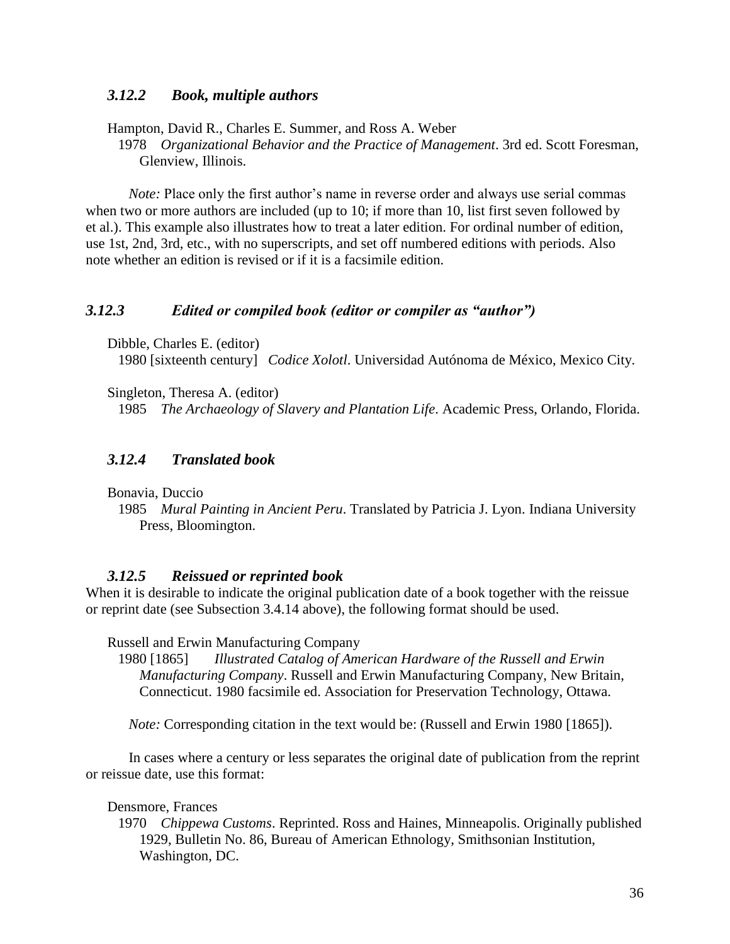#### *3.12.2 Book, multiple authors*

Hampton, David R., Charles E. Summer, and Ross A. Weber

1978 *Organizational Behavior and the Practice of Management*. 3rd ed. Scott Foresman, Glenview, Illinois.

*Note:* Place only the first author's name in reverse order and always use serial commas when two or more authors are included (up to 10; if more than 10, list first seven followed by et al.). This example also illustrates how to treat a later edition. For ordinal number of edition, use 1st, 2nd, 3rd, etc., with no superscripts, and set off numbered editions with periods. Also note whether an edition is revised or if it is a facsimile edition.

#### *3.12.3 Edited or compiled book (editor or compiler as "author")*

Dibble, Charles E. (editor)

1980 [sixteenth century] *Codice Xolotl*. Universidad Autónoma de México, Mexico City.

Singleton, Theresa A. (editor)

1985 *The Archaeology of Slavery and Plantation Life*. Academic Press, Orlando, Florida.

#### *3.12.4 Translated book*

Bonavia, Duccio

1985 *Mural Painting in Ancient Peru*. Translated by Patricia J. Lyon. Indiana University Press, Bloomington.

#### *3.12.5 Reissued or reprinted book*

When it is desirable to indicate the original publication date of a book together with the reissue or reprint date (see Subsection 3.4.14 above), the following format should be used.

Russell and Erwin Manufacturing Company

1980 [1865] *Illustrated Catalog of American Hardware of the Russell and Erwin Manufacturing Company*. Russell and Erwin Manufacturing Company, New Britain, Connecticut. 1980 facsimile ed. Association for Preservation Technology, Ottawa.

*Note:* Corresponding citation in the text would be: (Russell and Erwin 1980 [1865]).

In cases where a century or less separates the original date of publication from the reprint or reissue date, use this format:

Densmore, Frances

1970 *Chippewa Customs*. Reprinted. Ross and Haines, Minneapolis. Originally published 1929, Bulletin No. 86, Bureau of American Ethnology, Smithsonian Institution, Washington, DC.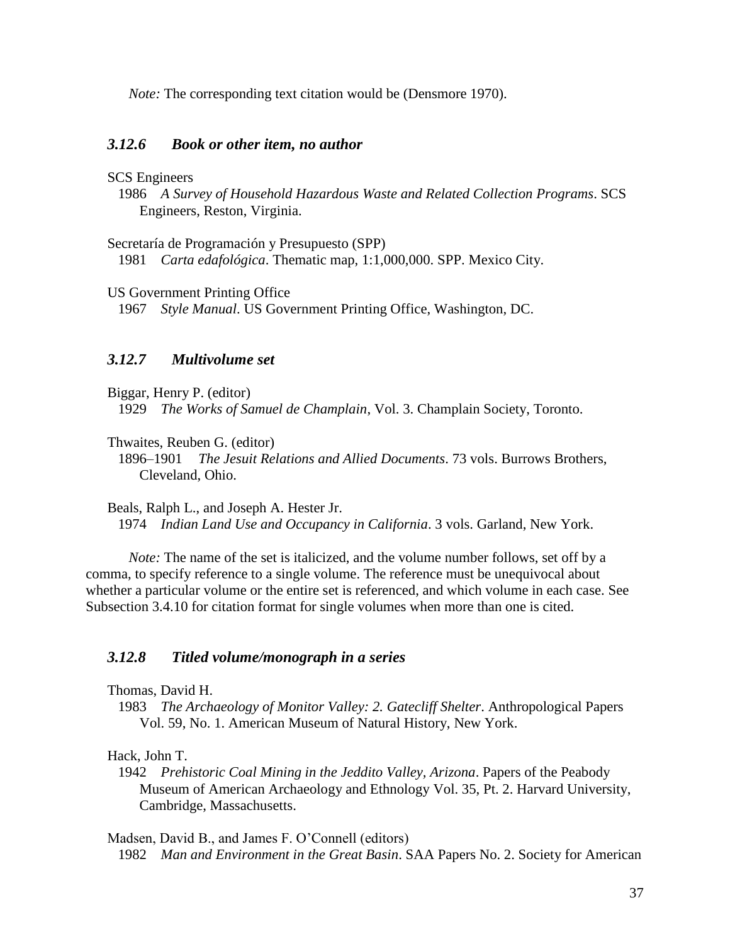*Note:* The corresponding text citation would be (Densmore 1970).

#### *3.12.6 Book or other item, no author*

#### SCS Engineers

1986 *A Survey of Household Hazardous Waste and Related Collection Programs*. SCS Engineers, Reston, Virginia.

Secretaría de Programación y Presupuesto (SPP)

1981 *Carta edafológica*. Thematic map, 1:1,000,000. SPP. Mexico City.

US Government Printing Office

1967 *Style Manual*. US Government Printing Office, Washington, DC.

#### *3.12.7 Multivolume set*

Biggar, Henry P. (editor) 1929 *The Works of Samuel de Champlain*, Vol. 3. Champlain Society, Toronto.

Thwaites, Reuben G. (editor)

1896–1901 *The Jesuit Relations and Allied Documents*. 73 vols. Burrows Brothers, Cleveland, Ohio.

Beals, Ralph L., and Joseph A. Hester Jr. 1974 *Indian Land Use and Occupancy in California*. 3 vols. Garland, New York.

*Note:* The name of the set is italicized, and the volume number follows, set off by a comma, to specify reference to a single volume. The reference must be unequivocal about whether a particular volume or the entire set is referenced, and which volume in each case. See Subsection 3.4.10 for citation format for single volumes when more than one is cited.

#### *3.12.8 Titled volume/monograph in a series*

- Thomas, David H.
- 1983 *The Archaeology of Monitor Valley: 2. Gatecliff Shelter*. Anthropological Papers Vol. 59, No. 1. American Museum of Natural History, New York.

#### Hack, John T.

1942 *Prehistoric Coal Mining in the Jeddito Valley, Arizona*. Papers of the Peabody Museum of American Archaeology and Ethnology Vol. 35, Pt. 2. Harvard University, Cambridge, Massachusetts.

Madsen, David B., and James F. O'Connell (editors)

1982 *Man and Environment in the Great Basin*. SAA Papers No. 2. Society for American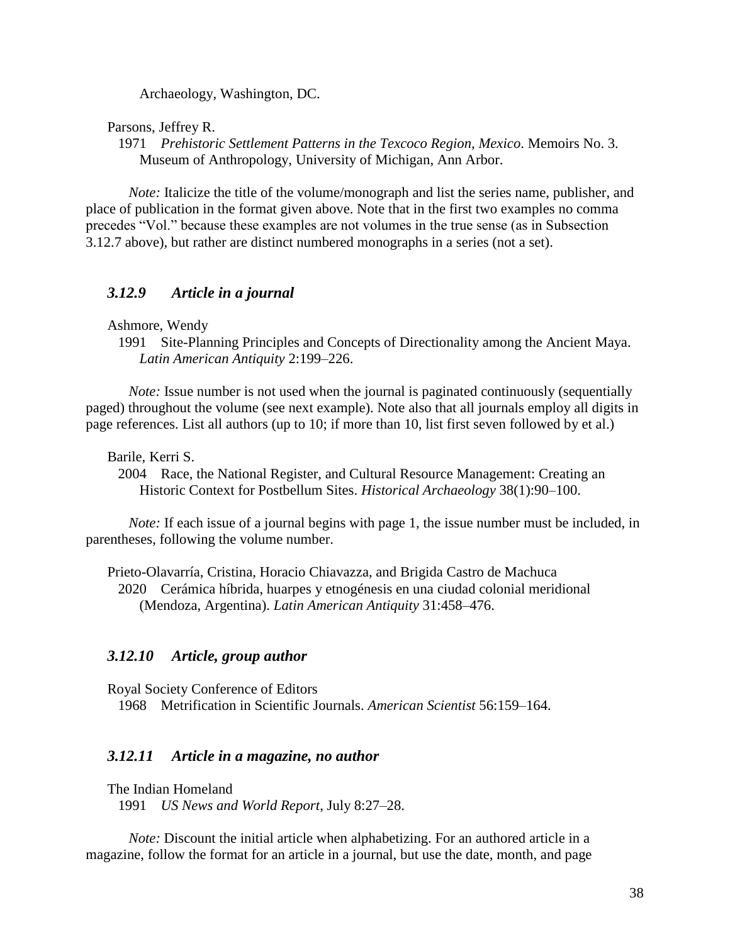Archaeology, Washington, DC.

Parsons, Jeffrey R.

1971 *Prehistoric Settlement Patterns in the Texcoco Region, Mexico*. Memoirs No. 3. Museum of Anthropology, University of Michigan, Ann Arbor.

*Note:* Italicize the title of the volume/monograph and list the series name, publisher, and place of publication in the format given above. Note that in the first two examples no comma precedes "Vol." because these examples are not volumes in the true sense (as in Subsection 3.12.7 above), but rather are distinct numbered monographs in a series (not a set).

#### *3.12.9 Article in a journal*

Ashmore, Wendy

1991 Site-Planning Principles and Concepts of Directionality among the Ancient Maya. *Latin American Antiquity* 2:199–226.

*Note:* Issue number is not used when the journal is paginated continuously (sequentially paged) throughout the volume (see next example). Note also that all journals employ all digits in page references. List all authors (up to 10; if more than 10, list first seven followed by et al.)

Barile, Kerri S.

2004 Race, the National Register, and Cultural Resource Management: Creating an Historic Context for Postbellum Sites. *Historical Archaeology* 38(1):90–100.

*Note:* If each issue of a journal begins with page 1, the issue number must be included, in parentheses, following the volume number.

Prieto-Olavarría, Cristina, Horacio Chiavazza, and Brigida Castro de Machuca 2020 Cerámica híbrida, huarpes y etnogénesis en una ciudad colonial meridional (Mendoza, Argentina). *Latin American Antiquity* 31:458–476.

#### *3.12.10 Article, group author*

Royal Society Conference of Editors 1968 Metrification in Scientific Journals. *American Scientist* 56:159–164.

#### *3.12.11 Article in a magazine, no author*

The Indian Homeland

1991 *US News and World Report*, July 8:27–28.

*Note:* Discount the initial article when alphabetizing. For an authored article in a magazine, follow the format for an article in a journal, but use the date, month, and page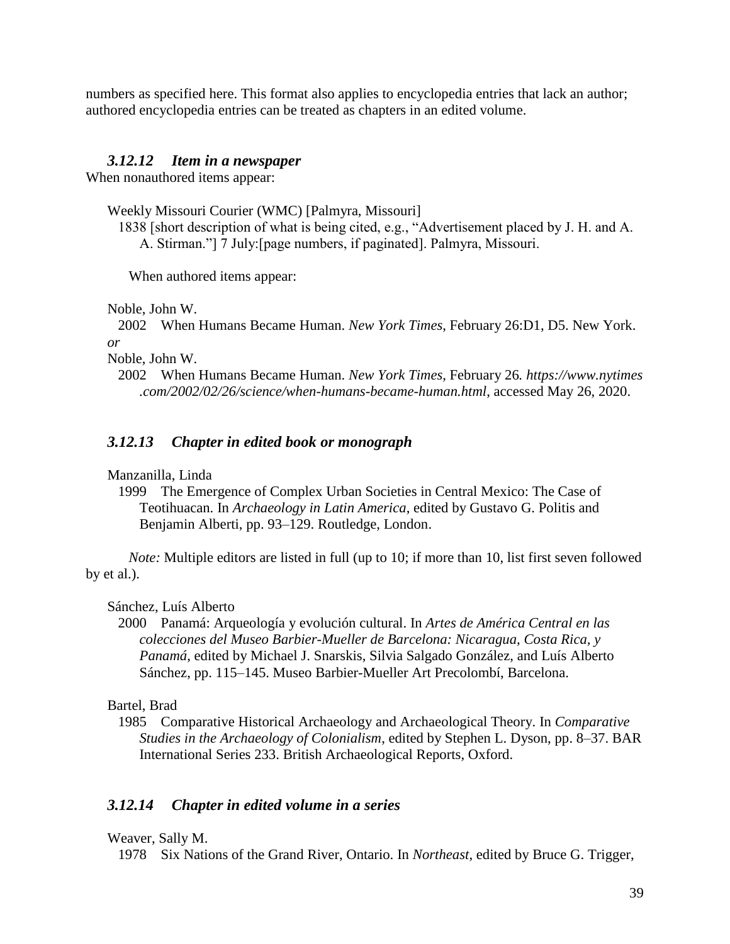numbers as specified here. This format also applies to encyclopedia entries that lack an author; authored encyclopedia entries can be treated as chapters in an edited volume.

#### *3.12.12 Item in a newspaper*

When nonauthored items appear:

Weekly Missouri Courier (WMC) [Palmyra, Missouri]

1838 [short description of what is being cited, e.g., "Advertisement placed by J. H. and A. A. Stirman."] 7 July:[page numbers, if paginated]. Palmyra, Missouri.

When authored items appear:

Noble, John W.

2002 When Humans Became Human. *New York Times*, February 26:D1, D5. New York. *or*

Noble, John W.

## *3.12.13 Chapter in edited book or monograph*

Manzanilla, Linda

1999 The Emergence of Complex Urban Societies in Central Mexico: The Case of Teotihuacan. In *Archaeology in Latin America*, edited by Gustavo G. Politis and Benjamin Alberti, pp. 93–129. Routledge, London.

*Note:* Multiple editors are listed in full (up to 10; if more than 10, list first seven followed by et al.).

Sánchez, Luís Alberto

2000 Panamá: Arqueología y evolución cultural. In *Artes de América Central en las colecciones del Museo Barbier-Mueller de Barcelona: Nicaragua, Costa Rica, y Panamá*, edited by Michael J. Snarskis, Silvia Salgado González, and Luís Alberto Sánchez, pp. 115–145. Museo Barbier-Mueller Art Precolombí, Barcelona.

Bartel, Brad

1985 Comparative Historical Archaeology and Archaeological Theory. In *Comparative Studies in the Archaeology of Colonialism*, edited by Stephen L. Dyson, pp. 8–37. BAR International Series 233. British Archaeological Reports, Oxford.

## *3.12.14 Chapter in edited volume in a series*

Weaver, Sally M.

1978 Six Nations of the Grand River, Ontario. In *Northeast*, edited by Bruce G. Trigger,

<sup>2002</sup> When Humans Became Human. *New York Times*, February 26*. https://www.nytimes .com/2002/02/26/science/when-humans-became-human.html*, accessed May 26, 2020.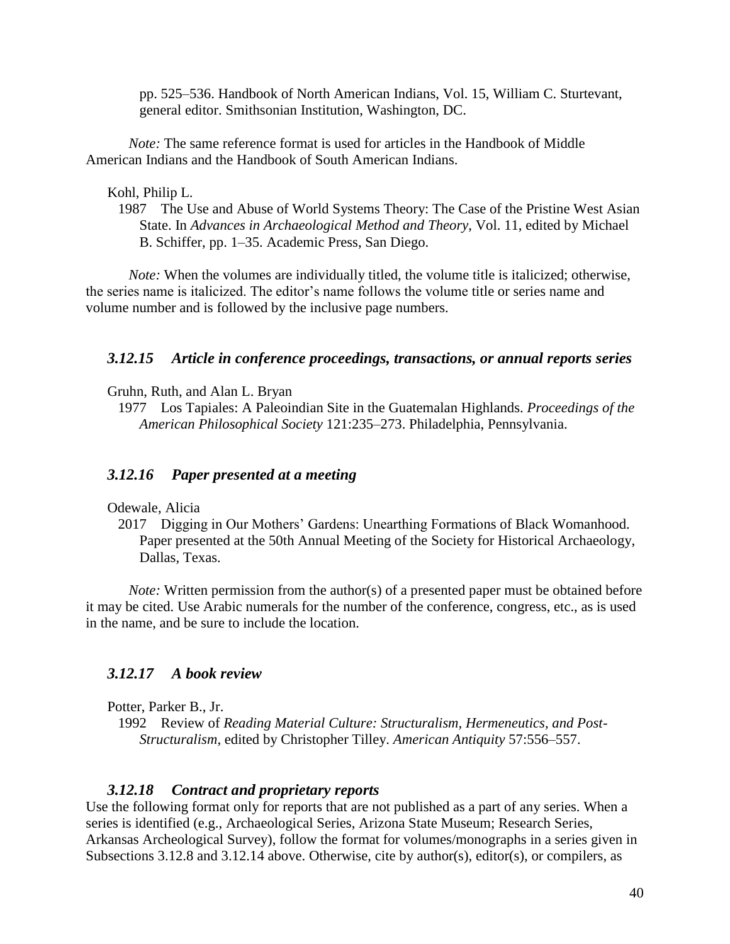pp. 525–536. Handbook of North American Indians, Vol. 15, William C. Sturtevant, general editor. Smithsonian Institution, Washington, DC.

*Note:* The same reference format is used for articles in the Handbook of Middle American Indians and the Handbook of South American Indians.

Kohl, Philip L.

1987 The Use and Abuse of World Systems Theory: The Case of the Pristine West Asian State. In *Advances in Archaeological Method and Theory*, Vol. 11, edited by Michael B. Schiffer, pp. 1–35. Academic Press, San Diego.

*Note:* When the volumes are individually titled, the volume title is italicized; otherwise, the series name is italicized. The editor's name follows the volume title or series name and volume number and is followed by the inclusive page numbers.

#### *3.12.15 Article in conference proceedings, transactions, or annual reports series*

Gruhn, Ruth, and Alan L. Bryan

1977 Los Tapiales: A Paleoindian Site in the Guatemalan Highlands. *Proceedings of the American Philosophical Society* 121:235–273. Philadelphia, Pennsylvania.

#### *3.12.16 Paper presented at a meeting*

Odewale, Alicia

2017 Digging in Our Mothers' Gardens: Unearthing Formations of Black Womanhood. Paper presented at the 50th Annual Meeting of the Society for Historical Archaeology, Dallas, Texas.

*Note:* Written permission from the author(s) of a presented paper must be obtained before it may be cited. Use Arabic numerals for the number of the conference, congress, etc., as is used in the name, and be sure to include the location.

#### *3.12.17 A book review*

Potter, Parker B., Jr.

1992 Review of *Reading Material Culture: Structuralism, Hermeneutics, and Post-Structuralism*, edited by Christopher Tilley. *American Antiquity* 57:556–557.

#### *3.12.18 Contract and proprietary reports*

Use the following format only for reports that are not published as a part of any series. When a series is identified (e.g., Archaeological Series, Arizona State Museum; Research Series, Arkansas Archeological Survey), follow the format for volumes/monographs in a series given in Subsections 3.12.8 and 3.12.14 above. Otherwise, cite by author(s), editor(s), or compilers, as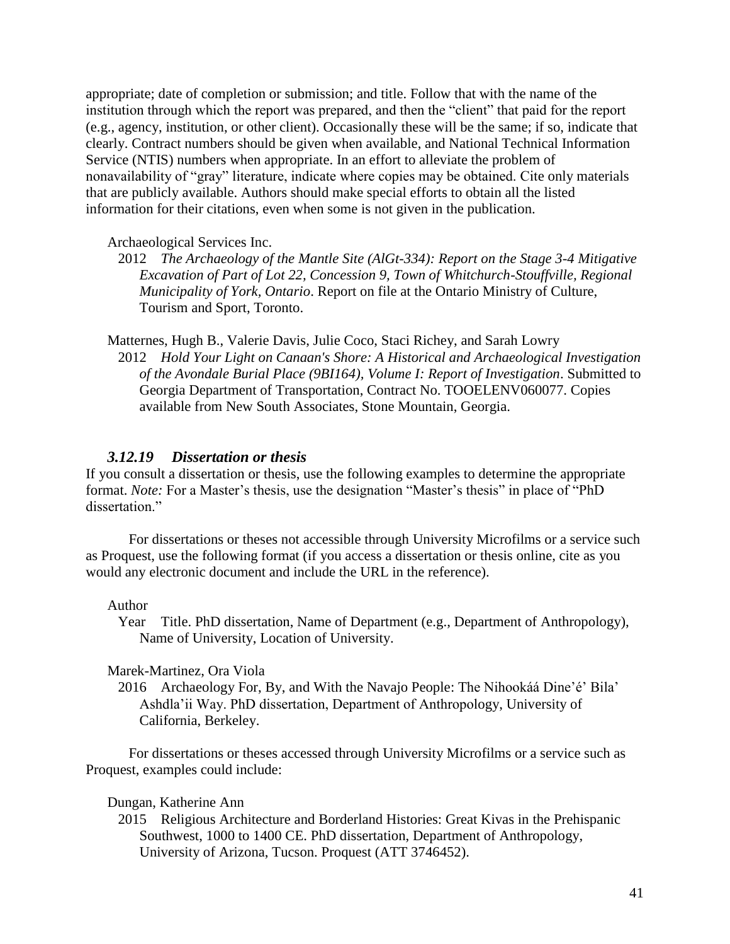appropriate; date of completion or submission; and title. Follow that with the name of the institution through which the report was prepared, and then the "client" that paid for the report (e.g., agency, institution, or other client). Occasionally these will be the same; if so, indicate that clearly. Contract numbers should be given when available, and National Technical Information Service (NTIS) numbers when appropriate. In an effort to alleviate the problem of nonavailability of "gray" literature, indicate where copies may be obtained. Cite only materials that are publicly available. Authors should make special efforts to obtain all the listed information for their citations, even when some is not given in the publication.

Archaeological Services Inc.

2012 *The Archaeology of the Mantle Site (AlGt-334): Report on the Stage 3-4 Mitigative Excavation of Part of Lot 22, Concession 9, Town of Whitchurch-Stouffville, Regional Municipality of York, Ontario*. Report on file at the Ontario Ministry of Culture, Tourism and Sport, Toronto.

Matternes, Hugh B., Valerie Davis, Julie Coco, Staci Richey, and Sarah Lowry 2012 *Hold Your Light on Canaan's Shore: A Historical and Archaeological Investigation of the Avondale Burial Place (9BI164), Volume I: Report of Investigation*. Submitted to Georgia Department of Transportation, Contract No. TOOELENV060077. Copies available from New South Associates, Stone Mountain, Georgia.

#### *3.12.19 Dissertation or thesis*

If you consult a dissertation or thesis, use the following examples to determine the appropriate format. *Note:* For a Master's thesis, use the designation "Master's thesis" in place of "PhD dissertation."

For dissertations or theses not accessible through University Microfilms or a service such as Proquest, use the following format (if you access a dissertation or thesis online, cite as you would any electronic document and include the URL in the reference).

#### Author

Year Title. PhD dissertation, Name of Department (e.g., Department of Anthropology), Name of University, Location of University.

Marek-Martinez, Ora Viola

2016 Archaeology For, By, and With the Navajo People: The Nihookáá Dine'é' Bila' Ashdla'ii Way. PhD dissertation, Department of Anthropology, University of California, Berkeley.

For dissertations or theses accessed through University Microfilms or a service such as Proquest, examples could include:

#### Dungan, Katherine Ann

2015 Religious Architecture and Borderland Histories: Great Kivas in the Prehispanic Southwest, 1000 to 1400 CE. PhD dissertation, Department of Anthropology, University of Arizona, Tucson. Proquest (ATT 3746452).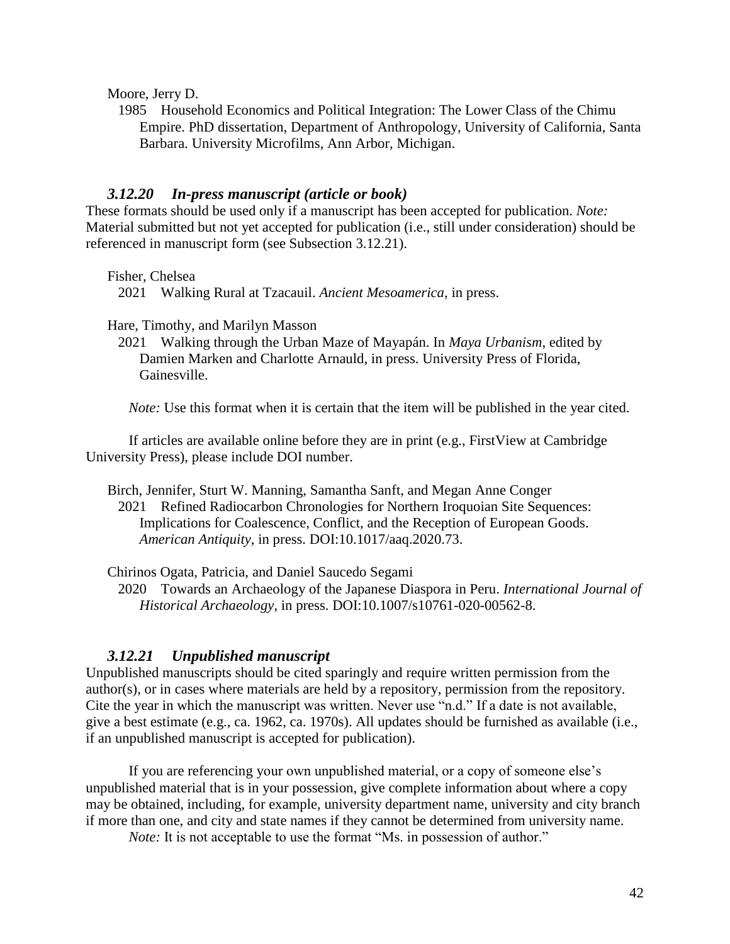Moore, Jerry D.

1985 Household Economics and Political Integration: The Lower Class of the Chimu Empire. PhD dissertation, Department of Anthropology, University of California, Santa Barbara. University Microfilms, Ann Arbor, Michigan.

#### *3.12.20 In-press manuscript (article or book)*

These formats should be used only if a manuscript has been accepted for publication. *Note:* Material submitted but not yet accepted for publication (i.e., still under consideration) should be referenced in manuscript form (see Subsection 3.12.21).

Fisher, Chelsea

2021 Walking Rural at Tzacauil. *Ancient Mesoamerica*, in press.

Hare, Timothy, and Marilyn Masson

2021 Walking through the Urban Maze of Mayapán. In *Maya Urbanism*, edited by Damien Marken and Charlotte Arnauld, in press. University Press of Florida, Gainesville.

*Note:* Use this format when it is certain that the item will be published in the year cited.

If articles are available online before they are in print (e.g., FirstView at Cambridge University Press), please include DOI number.

Birch, Jennifer, Sturt W. Manning, Samantha Sanft, and Megan Anne Conger 2021 Refined Radiocarbon Chronologies for Northern Iroquoian Site Sequences: Implications for Coalescence, Conflict, and the Reception of European Goods. *American Antiquity*, in press. DOI:10.1017/aaq.2020.73.

Chirinos Ogata, Patricia, and Daniel Saucedo Segami

2020 Towards an Archaeology of the Japanese Diaspora in Peru. *International Journal of Historical Archaeology*, in press. DOI[:10.1007/s10761-020-00562-8.](https://doi.org/10.1007/s10761-020-00562-8)

#### *3.12.21 Unpublished manuscript*

Unpublished manuscripts should be cited sparingly and require written permission from the author(s), or in cases where materials are held by a repository, permission from the repository. Cite the year in which the manuscript was written. Never use "n.d." If a date is not available, give a best estimate (e.g., ca. 1962, ca. 1970s). All updates should be furnished as available (i.e., if an unpublished manuscript is accepted for publication).

If you are referencing your own unpublished material, or a copy of someone else's unpublished material that is in your possession, give complete information about where a copy may be obtained, including, for example, university department name, university and city branch if more than one, and city and state names if they cannot be determined from university name.

*Note:* It is not acceptable to use the format "Ms. in possession of author."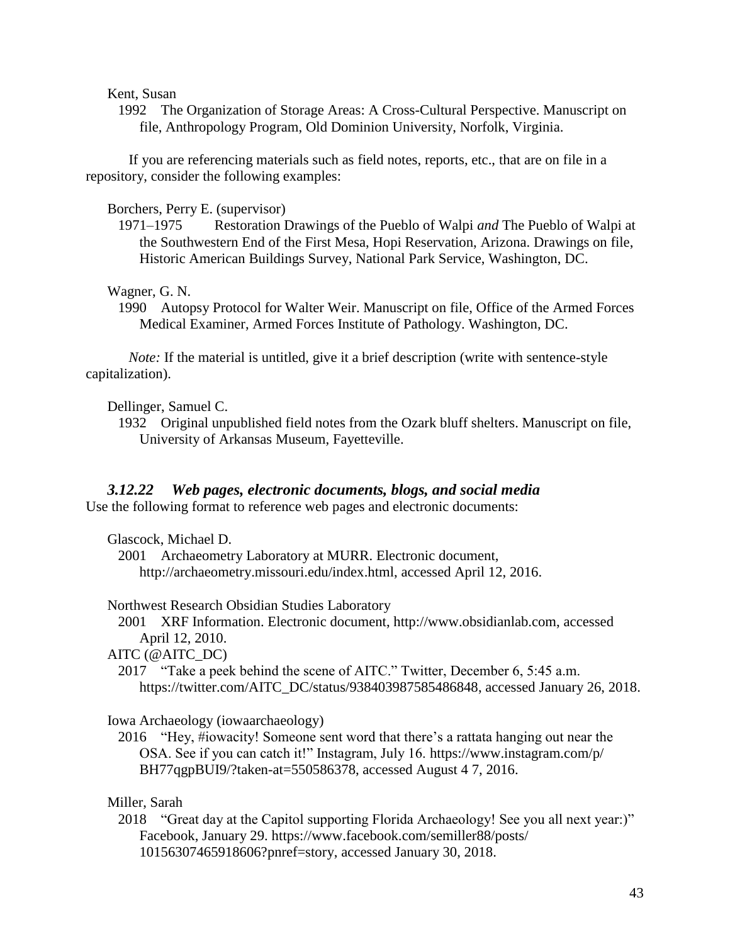Kent, Susan

1992 The Organization of Storage Areas: A Cross-Cultural Perspective. Manuscript on file, Anthropology Program, Old Dominion University, Norfolk, Virginia.

If you are referencing materials such as field notes, reports, etc., that are on file in a repository, consider the following examples:

Borchers, Perry E. (supervisor)

1971–1975 Restoration Drawings of the Pueblo of Walpi *and* The Pueblo of Walpi at the Southwestern End of the First Mesa, Hopi Reservation, Arizona. Drawings on file, Historic American Buildings Survey, National Park Service, Washington, DC.

Wagner, G. N.

1990 Autopsy Protocol for Walter Weir. Manuscript on file, Office of the Armed Forces Medical Examiner, Armed Forces Institute of Pathology. Washington, DC.

*Note:* If the material is untitled, give it a brief description (write with sentence-style capitalization).

Dellinger, Samuel C.

1932 Original unpublished field notes from the Ozark bluff shelters. Manuscript on file, University of Arkansas Museum, Fayetteville.

# *3.12.22 Web pages, electronic documents, blogs, and social media*

Use the following format to reference web pages and electronic documents:

Glascock, Michael D.

2001 Archaeometry Laboratory at MURR. Electronic document, http://archaeometry.missouri.edu/index.html, accessed April 12, 2016.

Northwest Research Obsidian Studies Laboratory

2001 XRF Information. Electronic document, http://www.obsidianlab.com, accessed April 12, 2010.

AITC (@AITC\_DC)

2017 "Take a peek behind the scene of AITC." Twitter, December 6, 5:45 a.m. [https://twitter.com/AITC\\_DC/status/938403987585486848,](https://twitter.com/AITC_DC/status/938403987585486848) accessed January 26, 2018.

Iowa Archaeology (iowaarchaeology)

2016 "Hey, #iowacity! Someone sent word that there's a rattata hanging out near the OSA. See if you can catch it!" Instagram, July 16. https://www.instagram.com/p/ BH77qgpBUI9/?taken-at=550586378, accessed August 4 7, 2016.

Miller, Sarah

2018 "Great day at the Capitol supporting Florida Archaeology! See you all next year:)" Facebook, January 29. https://www.facebook.com/semiller88/posts/ 10156307465918606?pnref=story, accessed January 30, 2018.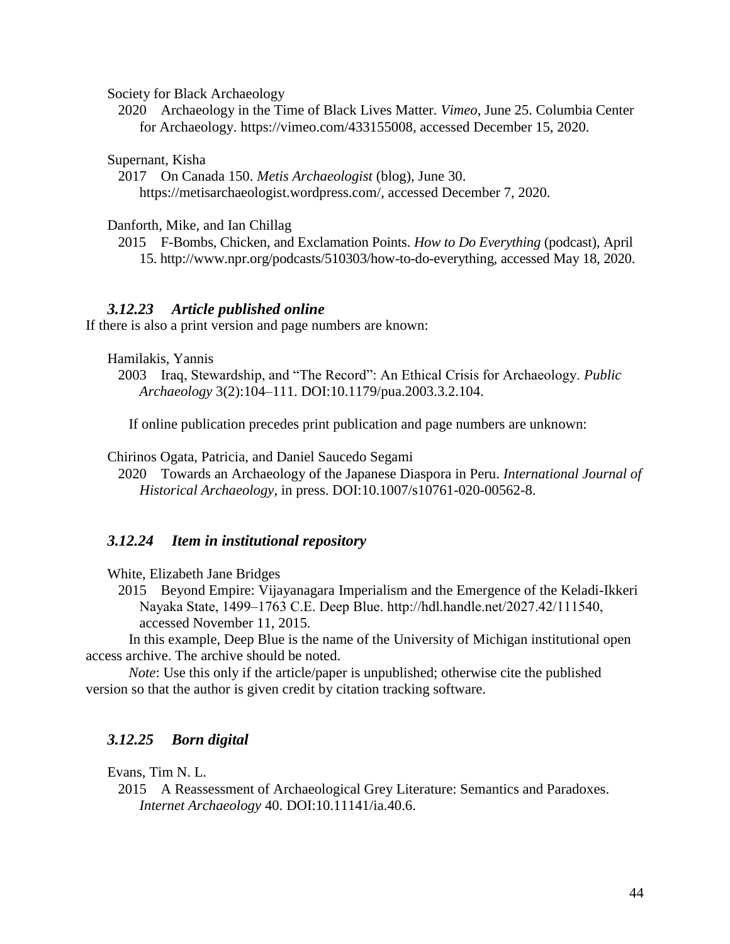Society for Black Archaeology

2020 Archaeology in the Time of Black Lives Matter. *Vimeo*, June 25. Columbia Center for Archaeology. [https://vimeo.com/433155008,](https://vimeo.com/433155008) accessed December 15, 2020.

Supernant, Kisha

2017 On Canada 150. *Metis Archaeologist* (blog), June 30. [https://metisarchaeologist.wordpress.com/,](https://metisarchaeologist.wordpress.com/) accessed December 7, 2020.

Danforth, Mike, and Ian Chillag

2015 F-Bombs, Chicken, and Exclamation Points. *How to Do Everything* (podcast), April 15. [http://www.npr.org/podcasts/510303/how-to-do-everything,](http://www.npr.org/podcasts/510303/how-to-do-everything) accessed May 18, 2020.

#### *3.12.23 Article published online*

If there is also a print version and page numbers are known:

Hamilakis, Yannis

2003 Iraq, Stewardship, and "The Record": An Ethical Crisis for Archaeology. *Public Archaeology* 3(2):104–111. DOI:10.1179/pua.2003.3.2.104.

If online publication precedes print publication and page numbers are unknown:

Chirinos Ogata, Patricia, and Daniel Saucedo Segami

2020 Towards an Archaeology of the Japanese Diaspora in Peru. *International Journal of Historical Archaeology*, in press. DOI[:10.1007/s10761-020-00562-8.](https://doi.org/10.1007/s10761-020-00562-8)

#### *3.12.24 Item in institutional repository*

White, Elizabeth Jane Bridges

2015 Beyond Empire: Vijayanagara Imperialism and the Emergence of the Keladi-Ikkeri Nayaka State, 1499–1763 C.E. Deep Blue. http://hdl.handle.net/2027.42/111540, accessed November 11, 2015.

In this example, Deep Blue is the name of the University of Michigan institutional open access archive. The archive should be noted.

*Note*: Use this only if the article/paper is unpublished; otherwise cite the published version so that the author is given credit by citation tracking software.

#### *3.12.25 Born digital*

Evans, Tim N. L.

2015 A Reassessment of Archaeological Grey Literature: Semantics and Paradoxes. *Internet Archaeology* 40. DOI:10.11141/ia.40.6.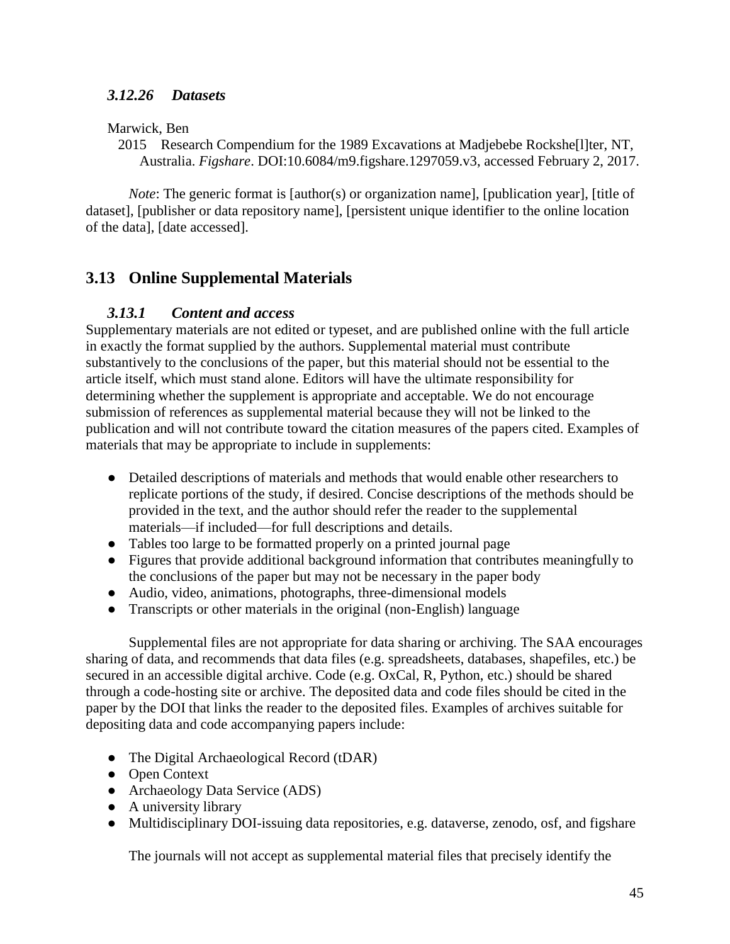## *3.12.26 Datasets*

Marwick, Ben

2015 Research Compendium for the 1989 Excavations at Madjebebe Rockshe[l]ter, NT, Australia. *Figshare*. DOI[:10.6084/m9.figshare.1297059.v3,](https://doi.org/10.6084/m9.figshare.1297059.v3) accessed February 2, 2017.

*Note*: The generic format is [author(s) or organization name], [publication year], [title of dataset], [publisher or data repository name], [persistent unique identifier to the online location of the data], [date accessed].

# **3.13 Online Supplemental Materials**

#### *3.13.1 Content and access*

Supplementary materials are not edited or typeset, and are published online with the full article in exactly the format supplied by the authors. Supplemental material must contribute substantively to the conclusions of the paper, but this material should not be essential to the article itself, which must stand alone. Editors will have the ultimate responsibility for determining whether the supplement is appropriate and acceptable. We do not encourage submission of references as supplemental material because they will not be linked to the publication and will not contribute toward the citation measures of the papers cited. Examples of materials that may be appropriate to include in supplements:

- Detailed descriptions of materials and methods that would enable other researchers to replicate portions of the study, if desired. Concise descriptions of the methods should be provided in the text, and the author should refer the reader to the supplemental materials—if included—for full descriptions and details.
- Tables too large to be formatted properly on a printed journal page
- Figures that provide additional background information that contributes meaningfully to the conclusions of the paper but may not be necessary in the paper body
- Audio, video, animations, photographs, three-dimensional models
- Transcripts or other materials in the original (non-English) language

Supplemental files are not appropriate for data sharing or archiving. The SAA encourages sharing of data, and recommends that data files (e.g. spreadsheets, databases, shapefiles, etc.) be secured in an accessible digital archive. Code (e.g. OxCal, R, Python, etc.) should be shared through a code-hosting site or archive. The deposited data and code files should be cited in the paper by the DOI that links the reader to the deposited files. Examples of archives suitable for depositing data and code accompanying papers include:

- The Digital Archaeological Record (tDAR)
- Open Context
- Archaeology Data Service (ADS)
- A university library
- Multidisciplinary DOI-issuing data repositories, e.g. dataverse, zenodo, osf, and figshare

The journals will not accept as supplemental material files that precisely identify the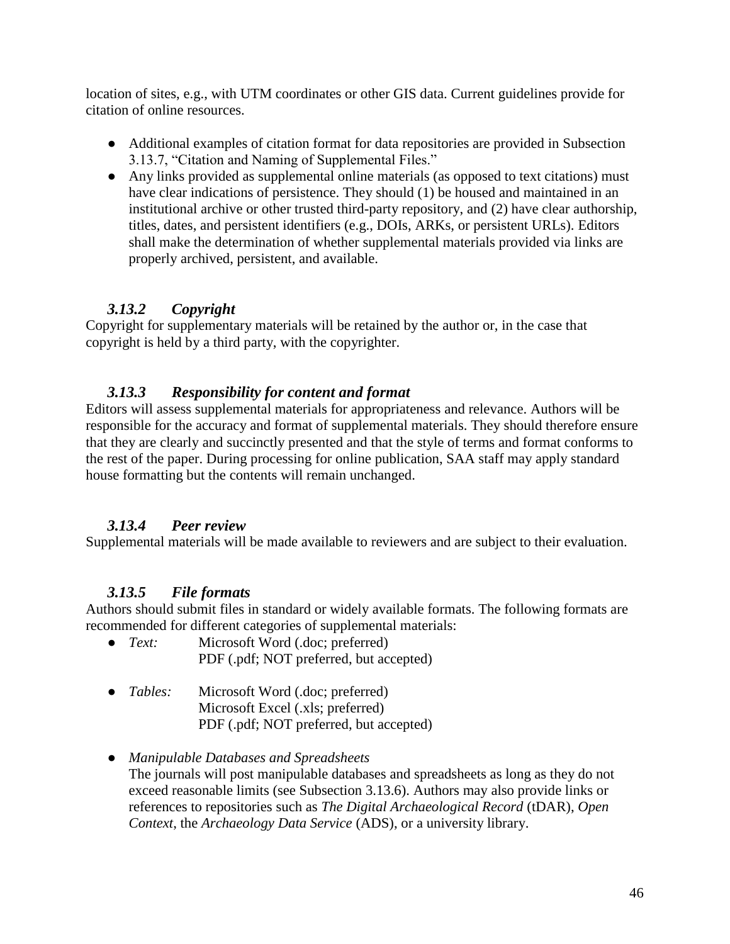location of sites, e.g., with UTM coordinates or other GIS data. Current guidelines provide for citation of online resources.

- Additional examples of citation format for data repositories are provided in Subsection 3.13.7, "Citation and Naming of Supplemental Files."
- Any links provided as supplemental online materials (as opposed to text citations) must have clear indications of persistence. They should (1) be housed and maintained in an institutional archive or other trusted third-party repository, and (2) have clear authorship, titles, dates, and persistent identifiers (e.g., DOIs, ARKs, or persistent URLs). Editors shall make the determination of whether supplemental materials provided via links are properly archived, persistent, and available.

# *3.13.2 Copyright*

Copyright for supplementary materials will be retained by the author or, in the case that copyright is held by a third party, with the copyrighter.

# *3.13.3 Responsibility for content and format*

Editors will assess supplemental materials for appropriateness and relevance. Authors will be responsible for the accuracy and format of supplemental materials. They should therefore ensure that they are clearly and succinctly presented and that the style of terms and format conforms to the rest of the paper. During processing for online publication, SAA staff may apply standard house formatting but the contents will remain unchanged.

# *3.13.4 Peer review*

Supplemental materials will be made available to reviewers and are subject to their evaluation.

# *3.13.5 File formats*

Authors should submit files in standard or widely available formats. The following formats are recommended for different categories of supplemental materials:

- *Text:* Microsoft Word (.doc; preferred) PDF (.pdf; NOT preferred, but accepted)
- *Tables:* Microsoft Word (.doc; preferred) Microsoft Excel (.xls; preferred) PDF (.pdf; NOT preferred, but accepted)
- *Manipulable Databases and Spreadsheets* The journals will post manipulable databases and spreadsheets as long as they do not exceed reasonable limits (see Subsection 3.13.6). Authors may also provide links or references to repositories such as *The Digital Archaeological Record* (tDAR), *Open Context*, the *Archaeology Data Service* (ADS), or a university library.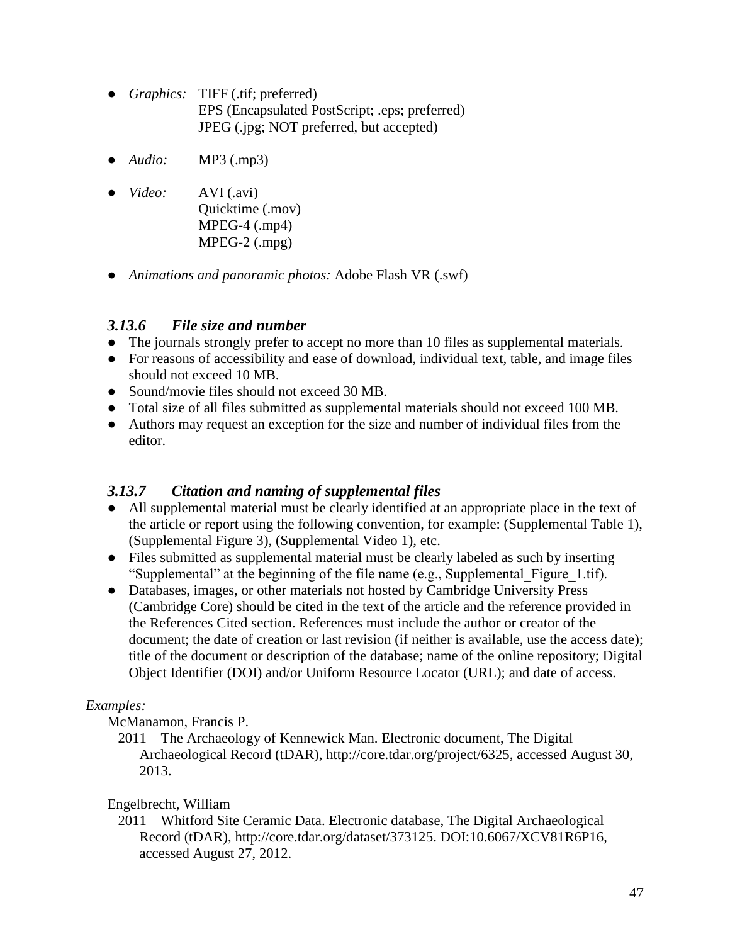- *Graphics:* TIFF (.tif; preferred) EPS (Encapsulated PostScript; .eps; preferred) JPEG (.jpg; NOT preferred, but accepted)
- *Audio:* MP3 (.mp3)
- *Video:* AVI (.avi) Quicktime (.mov) MPEG-4 (.mp4) MPEG-2 (.mpg)
- *Animations and panoramic photos:* Adobe Flash VR (.swf)

# *3.13.6 File size and number*

- The journals strongly prefer to accept no more than 10 files as supplemental materials.
- For reasons of accessibility and ease of download, individual text, table, and image files should not exceed 10 MB.
- Sound/movie files should not exceed 30 MB.
- Total size of all files submitted as supplemental materials should not exceed 100 MB.
- Authors may request an exception for the size and number of individual files from the editor.

## *3.13.7 Citation and naming of supplemental files*

- All supplemental material must be clearly identified at an appropriate place in the text of the article or report using the following convention, for example: (Supplemental Table 1), (Supplemental Figure 3), (Supplemental Video 1), etc.
- Files submitted as supplemental material must be clearly labeled as such by inserting "Supplemental" at the beginning of the file name (e.g., Supplemental\_Figure\_1.tif).
- Databases, images, or other materials not hosted by Cambridge University Press (Cambridge Core) should be cited in the text of the article and the reference provided in the References Cited section. References must include the author or creator of the document; the date of creation or last revision (if neither is available, use the access date); title of the document or description of the database; name of the online repository; Digital Object Identifier (DOI) and/or Uniform Resource Locator (URL); and date of access.

# *Examples:*

McManamon, Francis P.

2011 The Archaeology of Kennewick Man. Electronic document, The Digital Archaeological Record (tDAR), [http://core.tdar.org/project/6325,](http://core.tdar.org/project/6325) accessed August 30, 2013.

## Engelbrecht, William

2011 Whitford Site Ceramic Data. Electronic database, The Digital Archaeological Record (tDAR), [http://core.tdar.org/dataset/373125.](http://core.tdar.org/dataset/373125) DOI:10.6067/XCV81R6P16, accessed August 27, 2012.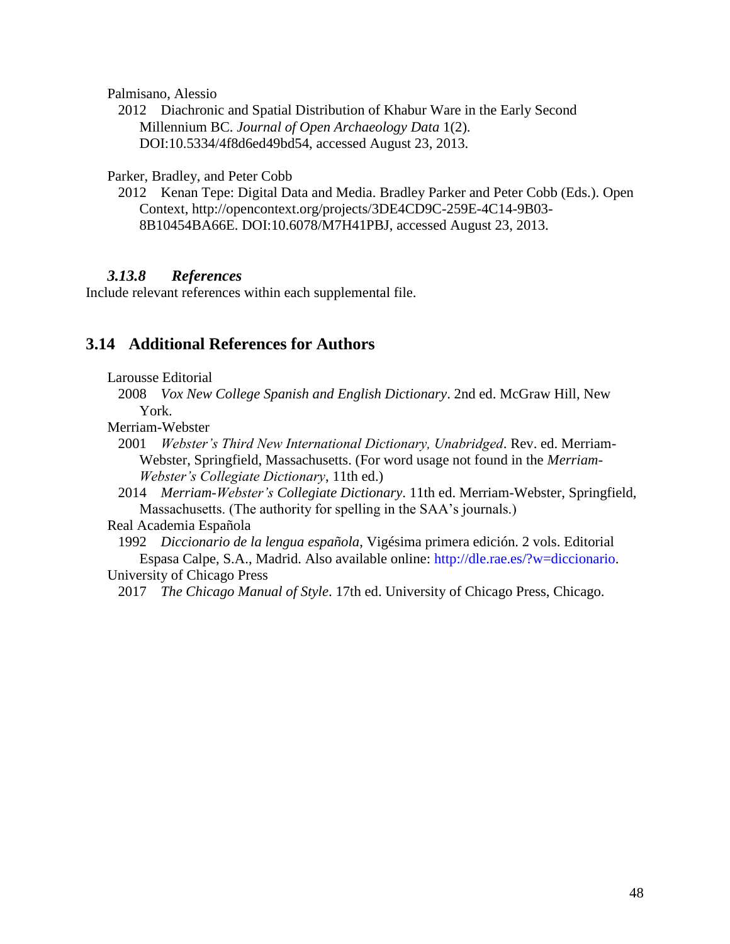Palmisano, Alessio

2012 Diachronic and Spatial Distribution of Khabur Ware in the Early Second Millennium BC. *Journal of Open Archaeology Data* 1(2). DOI[:10.5334/4f8d6ed49bd54,](http://dx.doi.org/10.5334/4f8d6ed49bd54) accessed August 23, 2013.

Parker, Bradley, and Peter Cobb

2012 Kenan Tepe: Digital Data and Media. Bradley Parker and Peter Cobb (Eds.). Open Context, http://opencontext.org/projects/3DE4CD9C-259E-4C14-9B03- 8B10454BA66E. DOI[:10.6078/M7H41PBJ,](http://dx.doi.org/10.6078/M7H41PBJ) accessed August 23, 2013.

#### *3.13.8 References*

Include relevant references within each supplemental file.

### **3.14 Additional References for Authors**

Larousse Editorial

2008 *Vox New College Spanish and English Dictionary*. 2nd ed. McGraw Hill, New York.

Merriam-Webster

- 2001 *Webster's Third New International Dictionary, Unabridged*. Rev. ed. Merriam-Webster, Springfield, Massachusetts. (For word usage not found in the *Merriam-Webster's Collegiate Dictionary*, 11th ed.)
- 2014 *Merriam-Webster's Collegiate Dictionary*. 11th ed. Merriam-Webster, Springfield, Massachusetts. (The authority for spelling in the SAA's journals.)

Real Academia Española

1992 *Diccionario de la lengua española*, Vigésima primera edición. 2 vols. Editorial Espasa Calpe, S.A., Madrid. Also available online: [http://dle.rae.es/?w=diccionario.](http://dle.rae.es/?w=diccionario) University of Chicago Press

2017 *The Chicago Manual of Style*. 17th ed. University of Chicago Press, Chicago.